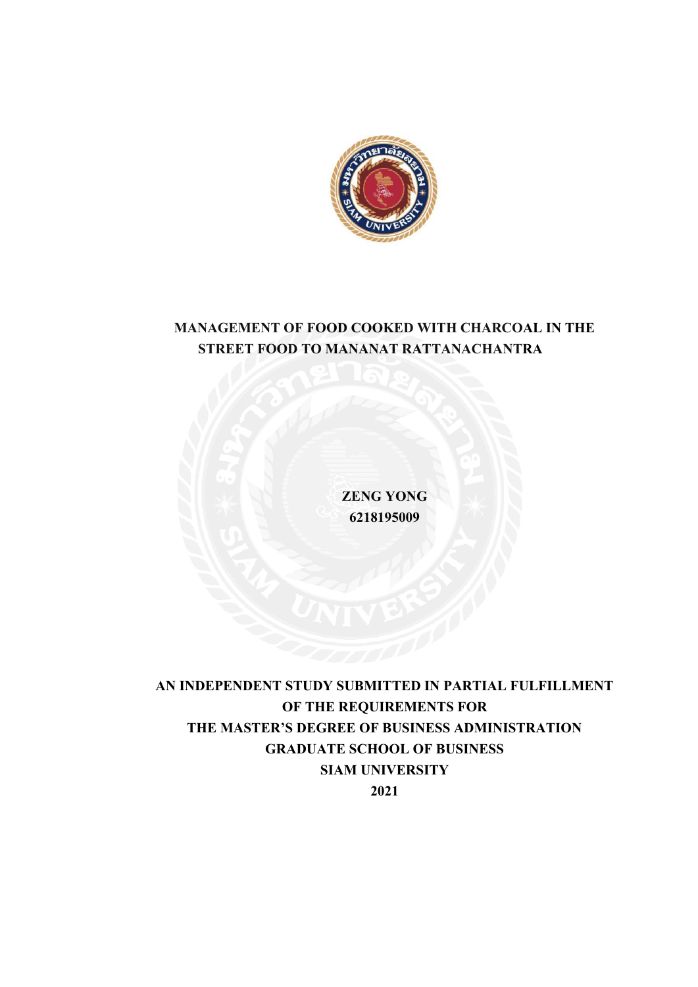

# **MANAGEMENT OF FOOD COOKED WITH CHARCOAL IN THE STREET FOOD TO MANANAT RATTANACHANTRA**

**ZENG YONG 6218195009**

**AN INDEPENDENT STUDY SUBMITTED IN PARTIAL FULFILLMENT OF THE REQUIREMENTS FOR THE MASTER'S DEGREE OF BUSINESS ADMINISTRATION GRADUATE SCHOOL OF BUSINESS SIAM UNIVERSITY 2021**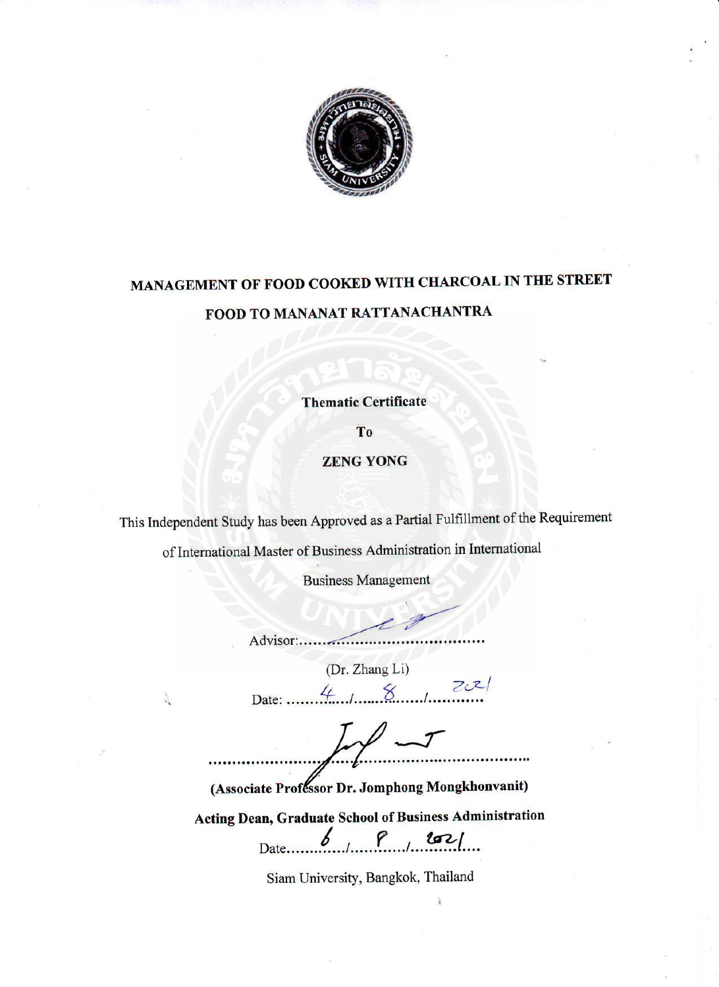

# MANAGEMENT OF FOOD COOKED WITH CHARCOAL IN THE STREET FOOD TO MANANAT RATTANACHANTRA

**Thematic Certificate** 

T<sub>o</sub>

**ZENG YONG** 

This Independent Study has been Approved as a Partial Fulfillment of the Requirement

of International Master of Business Administration in International

**Business Management** 

Advisor:..................

(Dr. Zhang Li)

Date:  $4.1.8$ 

(Associate Professor Dr. Jomphong Mongkhonvanit)

Acting Dean, Graduate School of Business Administration  $P_{1}$  102/ b Date..

Siam University, Bangkok, Thailand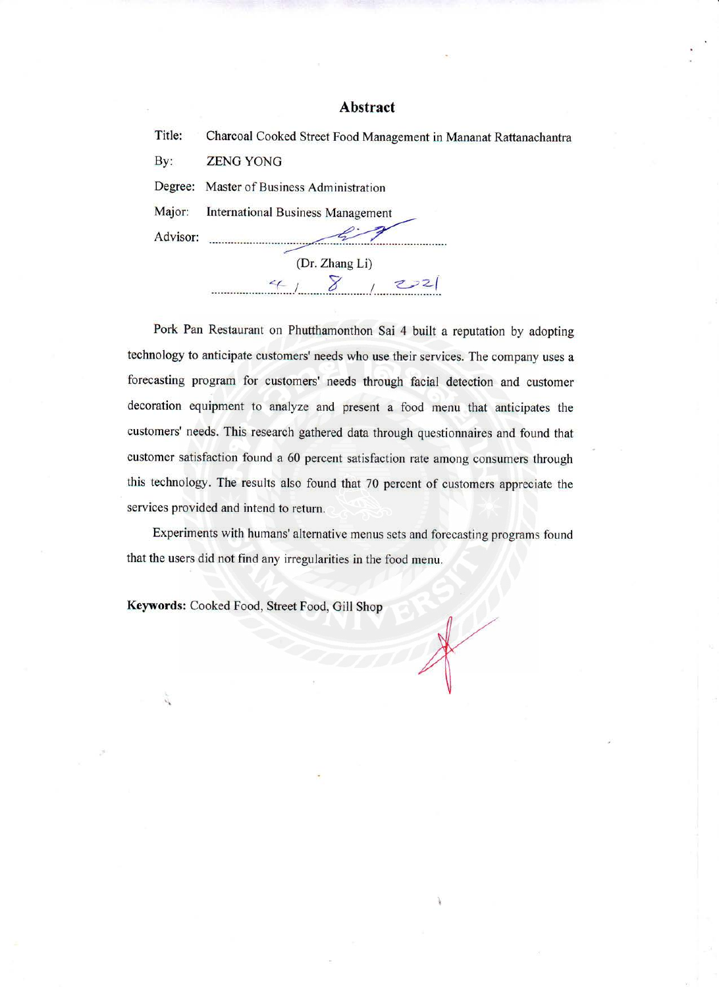### **Abstract**

| Title:   | Charcoal Cooked Street Food Management in Mananat Rattanachantra |  |  |  |
|----------|------------------------------------------------------------------|--|--|--|
| By:      | <b>ZENG YONG</b>                                                 |  |  |  |
| Degree:  | Master of Business Administration                                |  |  |  |
| Major:   | <b>International Business Management</b>                         |  |  |  |
| Advisor: |                                                                  |  |  |  |
|          | (Dr. Zhang Li)                                                   |  |  |  |
|          | 222<br>4                                                         |  |  |  |
|          |                                                                  |  |  |  |

Pork Pan Restaurant on Phutthamonthon Sai 4 built a reputation by adopting technology to anticipate customers' needs who use their services. The company uses a forecasting program for customers' needs through facial detection and customer decoration equipment to analyze and present a food menu that anticipates the customers' needs. This research gathered data through questionnaires and found that customer satisfaction found a 60 percent satisfaction rate among consumers through this technology. The results also found that 70 percent of customers appreciate the services provided and intend to return.

Experiments with humans' alternative menus sets and forecasting programs found that the users did not find any irregularities in the food menu.

Keywords: Cooked Food, Street Food, Gill Shop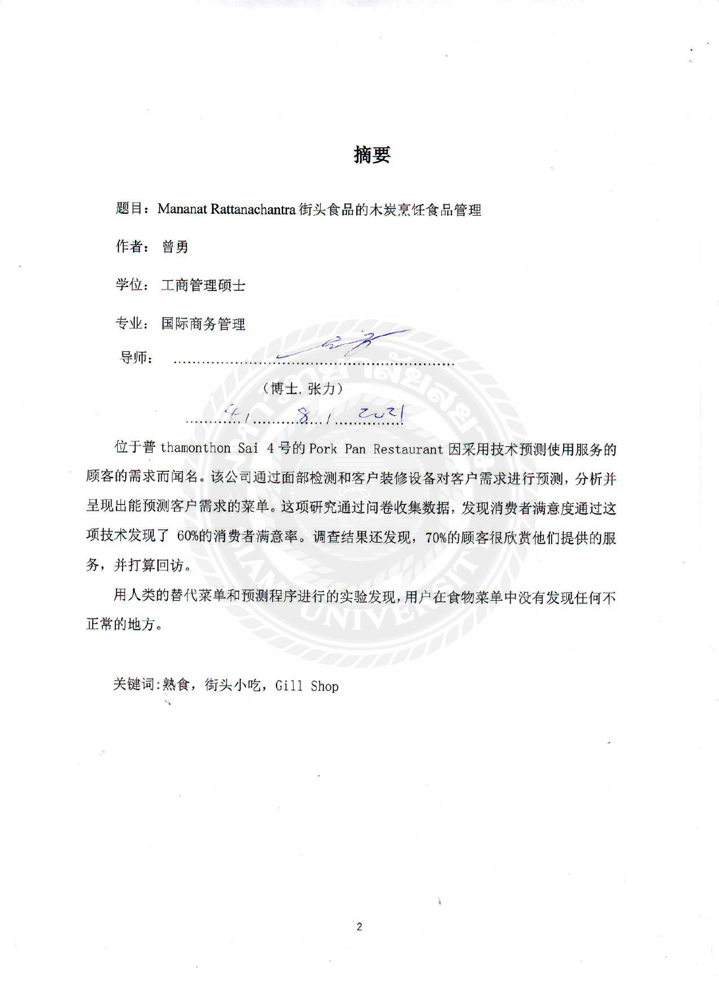# 摘要

题目: Mananat Rattanachantra 街头食品的木炭烹饪食品管理

作者: 曾勇

学位: 工商管理硕士

专业: 国际商务管理

导师:

(博士. 张力)

 $41.81$ 

位于普 thamonthon Sai 4 号的 Pork Pan Restaurant 因采用技术预测使用服务的 顾客的需求而闻名。该公司通过面部检测和客户装修设备对客户需求进行预测,分析并 呈现出能预测客户需求的菜单。这项研究通过问卷收集数据,发现消费者满意度通过这 项技术发现了 60%的消费者满意率。调查结果还发现, 70%的顾客很欣赏他们提供的服 务,并打算回访。

用人类的替代菜单和预测程序进行的实验发现,用户在食物菜单中没有发现任何不 正常的地方。

关键词:熟食, 街头小吃, Gill Shop

 $\overline{2}$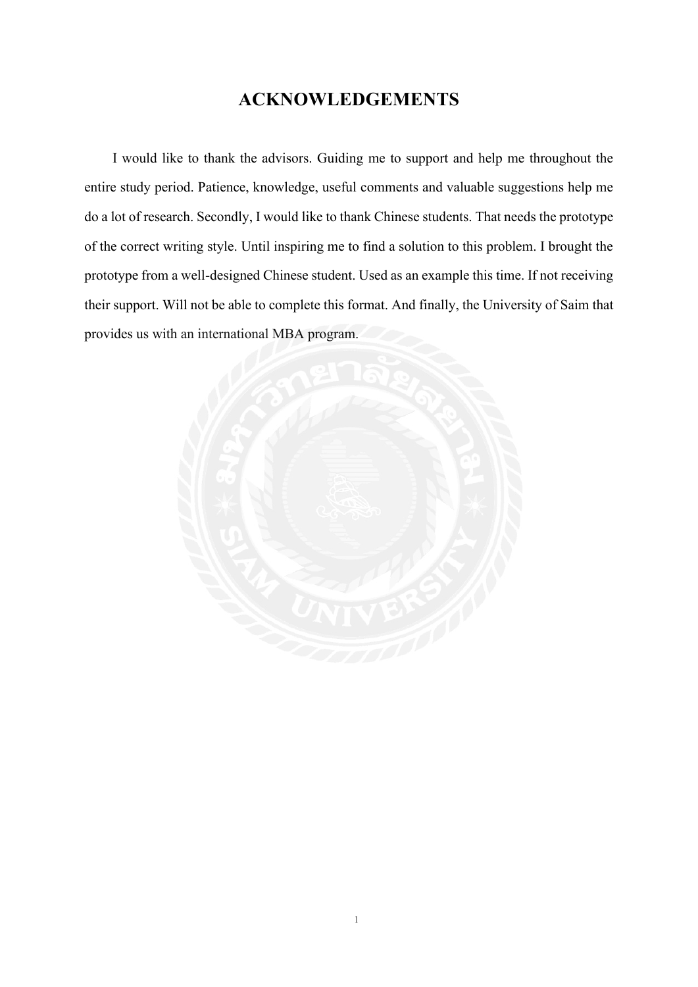# **ACKNOWLEDGEMENTS**

<span id="page-4-0"></span>I would like to thank the advisors. Guiding me to support and help me throughout the entire study period. Patience, knowledge, useful comments and valuable suggestions help me do a lot of research. Secondly, I would like to thank Chinese students. That needs the prototype of the correct writing style. Until inspiring me to find a solution to this problem. I brought the prototype from a well-designed Chinese student. Used as an example this time. If not receiving their support. Will not be able to complete this format. And finally, the University of Saim that provides us with an international MBA program.

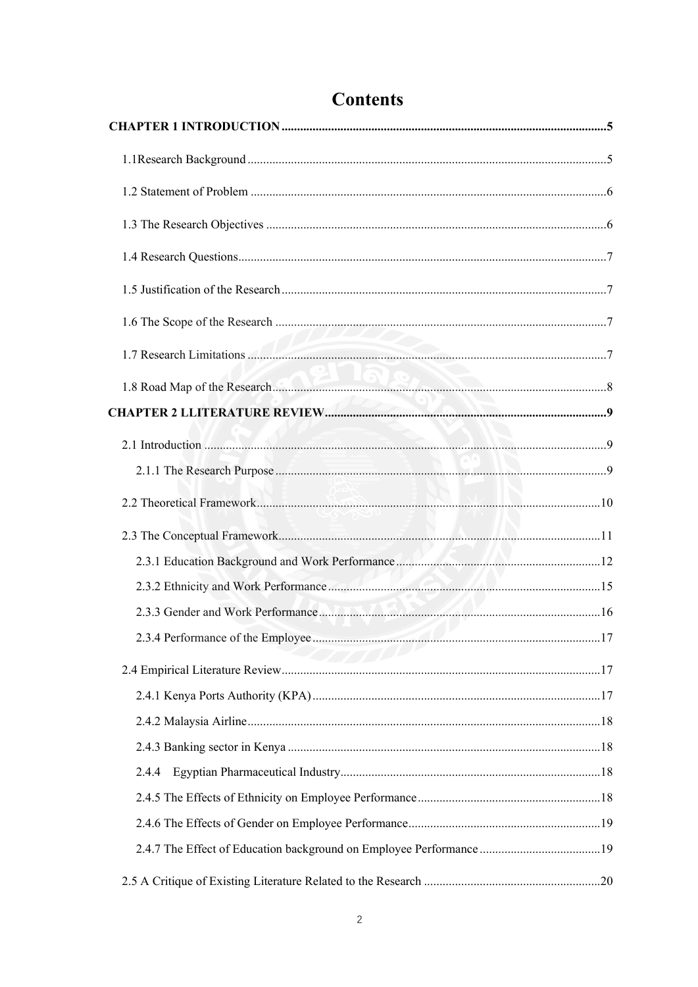| 2.4.4 |  |
|-------|--|
|       |  |
|       |  |
|       |  |
|       |  |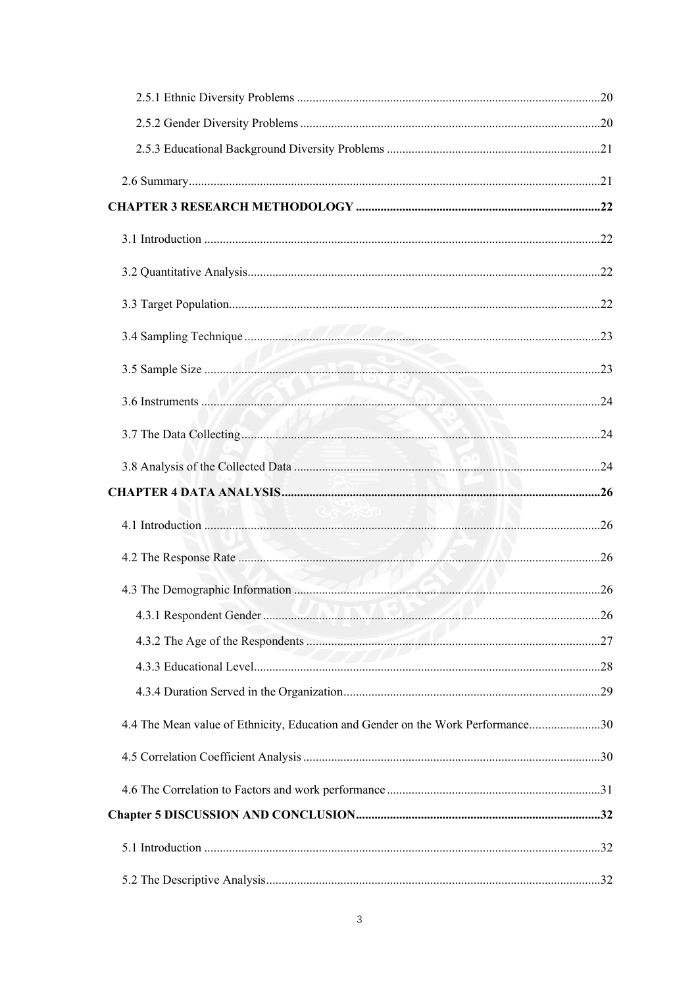| 4.4 The Mean value of Ethnicity, Education and Gender on the Work Performance30 |  |
|---------------------------------------------------------------------------------|--|
|                                                                                 |  |
|                                                                                 |  |
|                                                                                 |  |
|                                                                                 |  |
|                                                                                 |  |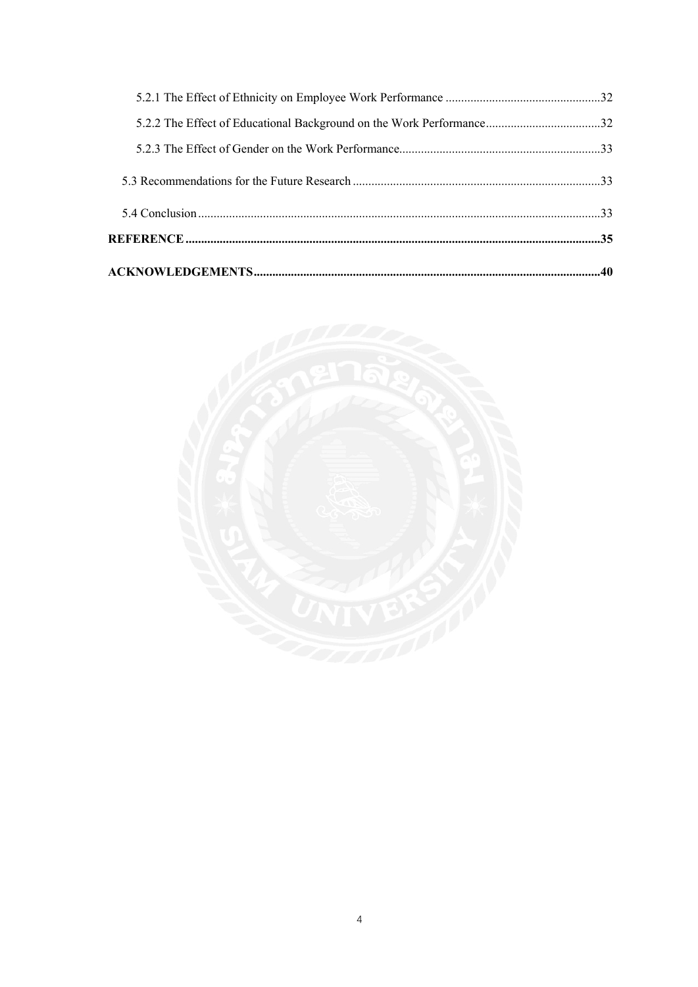| 5.2.2 The Effect of Educational Background on the Work Performance32 |  |
|----------------------------------------------------------------------|--|
|                                                                      |  |

<span id="page-7-0"></span>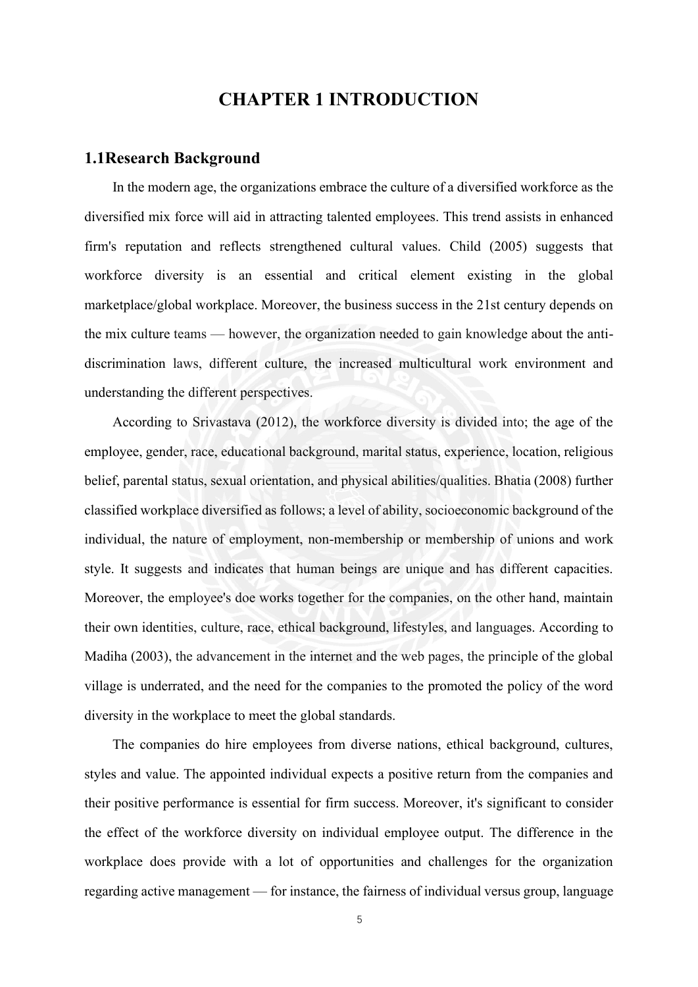# **CHAPTER 1 INTRODUCTION**

### <span id="page-8-0"></span>**1.1Research Background**

In the modern age, the organizations embrace the culture of a diversified workforce as the diversified mix force will aid in attracting talented employees. This trend assists in enhanced firm's reputation and reflects strengthened cultural values. Child (2005) suggests that workforce diversity is an essential and critical element existing in the global marketplace/global workplace. Moreover, the business success in the 21st century depends on the mix culture teams — however, the organization needed to gain knowledge about the antidiscrimination laws, different culture, the increased multicultural work environment and understanding the different perspectives.

According to Srivastava (2012), the workforce diversity is divided into; the age of the employee, gender, race, educational background, marital status, experience, location, religious belief, parental status, sexual orientation, and physical abilities/qualities. Bhatia (2008) further classified workplace diversified as follows; a level of ability, socioeconomic background of the individual, the nature of employment, non-membership or membership of unions and work style. It suggests and indicates that human beings are unique and has different capacities. Moreover, the employee's doe works together for the companies, on the other hand, maintain their own identities, culture, race, ethical background, lifestyles, and languages. According to Madiha (2003), the advancement in the internet and the web pages, the principle of the global village is underrated, and the need for the companies to the promoted the policy of the word diversity in the workplace to meet the global standards.

The companies do hire employees from diverse nations, ethical background, cultures, styles and value. The appointed individual expects a positive return from the companies and their positive performance is essential for firm success. Moreover, it's significant to consider the effect of the workforce diversity on individual employee output. The difference in the workplace does provide with a lot of opportunities and challenges for the organization regarding active management — for instance, the fairness of individual versus group, language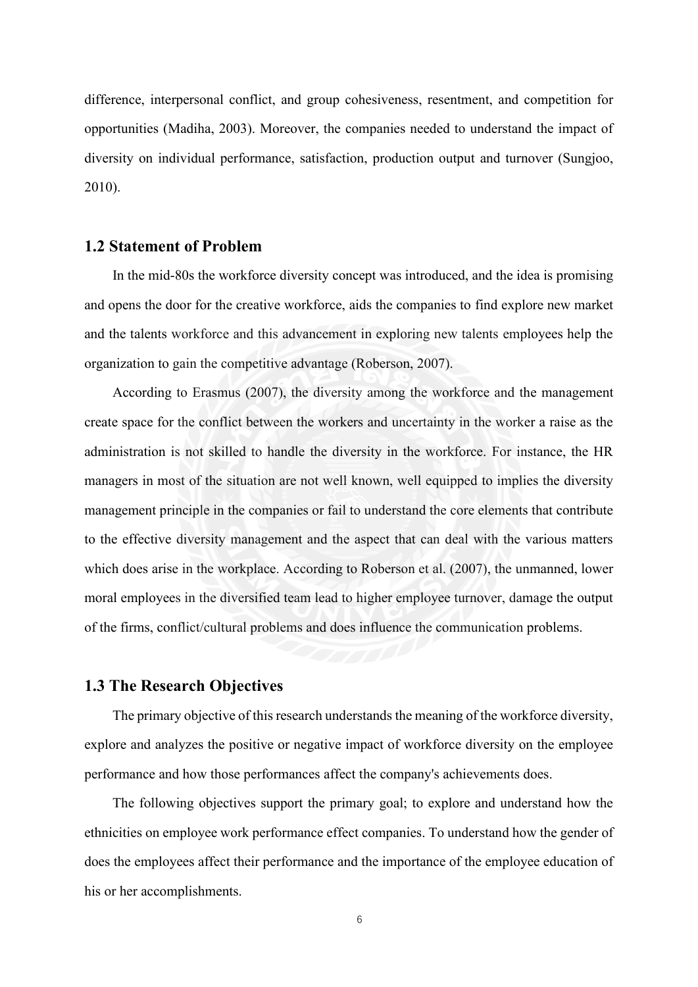difference, interpersonal conflict, and group cohesiveness, resentment, and competition for opportunities (Madiha, 2003). Moreover, the companies needed to understand the impact of diversity on individual performance, satisfaction, production output and turnover (Sungjoo, 2010).

# <span id="page-9-0"></span>**1.2 Statement of Problem**

In the mid-80s the workforce diversity concept was introduced, and the idea is promising and opens the door for the creative workforce, aids the companies to find explore new market and the talents workforce and this advancement in exploring new talents employees help the organization to gain the competitive advantage (Roberson, 2007).

According to Erasmus (2007), the diversity among the workforce and the management create space for the conflict between the workers and uncertainty in the worker a raise as the administration is not skilled to handle the diversity in the workforce. For instance, the HR managers in most of the situation are not well known, well equipped to implies the diversity management principle in the companies or fail to understand the core elements that contribute to the effective diversity management and the aspect that can deal with the various matters which does arise in the workplace. According to Roberson et al. (2007), the unmanned, lower moral employees in the diversified team lead to higher employee turnover, damage the output of the firms, conflict/cultural problems and does influence the communication problems.

# <span id="page-9-1"></span>**1.3 The Research Objectives**

The primary objective of this research understands the meaning of the workforce diversity, explore and analyzes the positive or negative impact of workforce diversity on the employee performance and how those performances affect the company's achievements does.

The following objectives support the primary goal; to explore and understand how the ethnicities on employee work performance effect companies. To understand how the gender of does the employees affect their performance and the importance of the employee education of his or her accomplishments.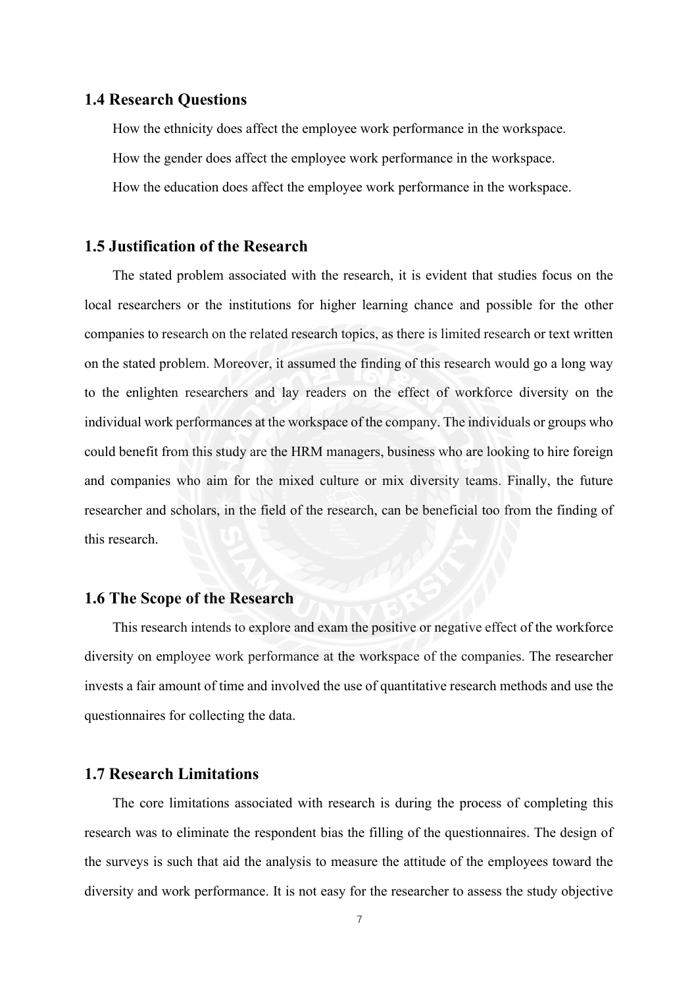### <span id="page-10-0"></span>**1.4 Research Questions**

How the ethnicity does affect the employee work performance in the workspace. How the gender does affect the employee work performance in the workspace. How the education does affect the employee work performance in the workspace.

# <span id="page-10-1"></span>**1.5 Justification of the Research**

The stated problem associated with the research, it is evident that studies focus on the local researchers or the institutions for higher learning chance and possible for the other companies to research on the related research topics, as there is limited research or text written on the stated problem. Moreover, it assumed the finding of this research would go a long way to the enlighten researchers and lay readers on the effect of workforce diversity on the individual work performances at the workspace of the company. The individuals or groups who could benefit from this study are the HRM managers, business who are looking to hire foreign and companies who aim for the mixed culture or mix diversity teams. Finally, the future researcher and scholars, in the field of the research, can be beneficial too from the finding of this research.

# <span id="page-10-2"></span>**1.6 The Scope of the Research**

This research intends to explore and exam the positive or negative effect of the workforce diversity on employee work performance at the workspace of the companies. The researcher invests a fair amount of time and involved the use of quantitative research methods and use the questionnaires for collecting the data.

# <span id="page-10-3"></span>**1.7 Research Limitations**

The core limitations associated with research is during the process of completing this research was to eliminate the respondent bias the filling of the questionnaires. The design of the surveys is such that aid the analysis to measure the attitude of the employees toward the diversity and work performance. It is not easy for the researcher to assess the study objective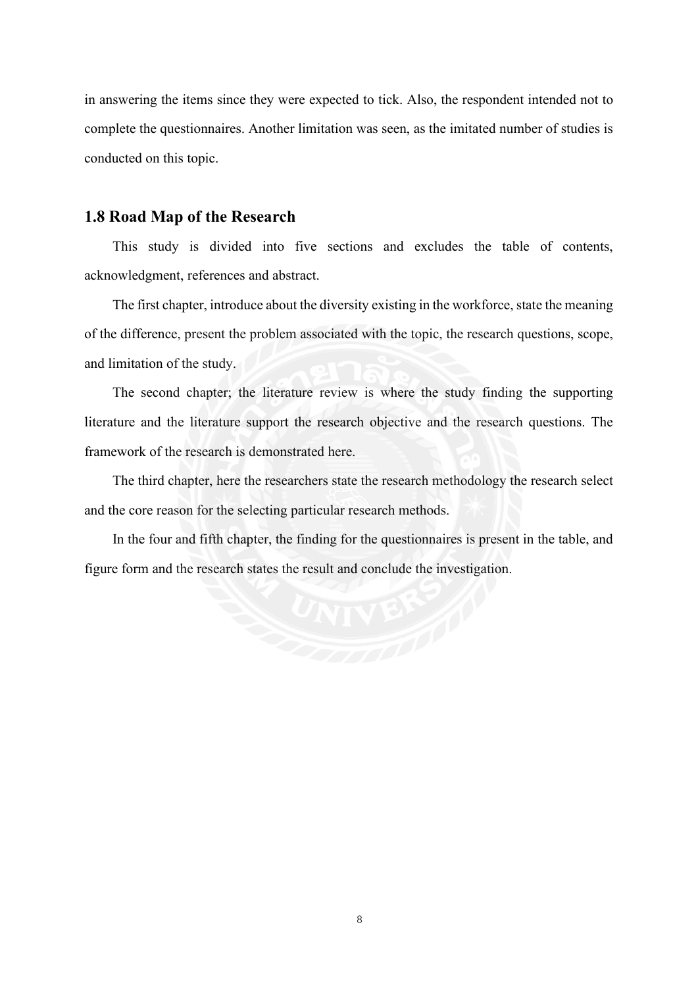in answering the items since they were expected to tick. Also, the respondent intended not to complete the questionnaires. Another limitation was seen, as the imitated number of studies is conducted on this topic.

# <span id="page-11-0"></span>**1.8 Road Map of the Research**

This study is divided into five sections and excludes the table of contents, acknowledgment, references and abstract.

The first chapter, introduce about the diversity existing in the workforce, state the meaning of the difference, present the problem associated with the topic, the research questions, scope, and limitation of the study.

The second chapter; the literature review is where the study finding the supporting literature and the literature support the research objective and the research questions. The framework of the research is demonstrated here.

The third chapter, here the researchers state the research methodology the research select and the core reason for the selecting particular research methods.

In the four and fifth chapter, the finding for the questionnaires is present in the table, and figure form and the research states the result and conclude the investigation.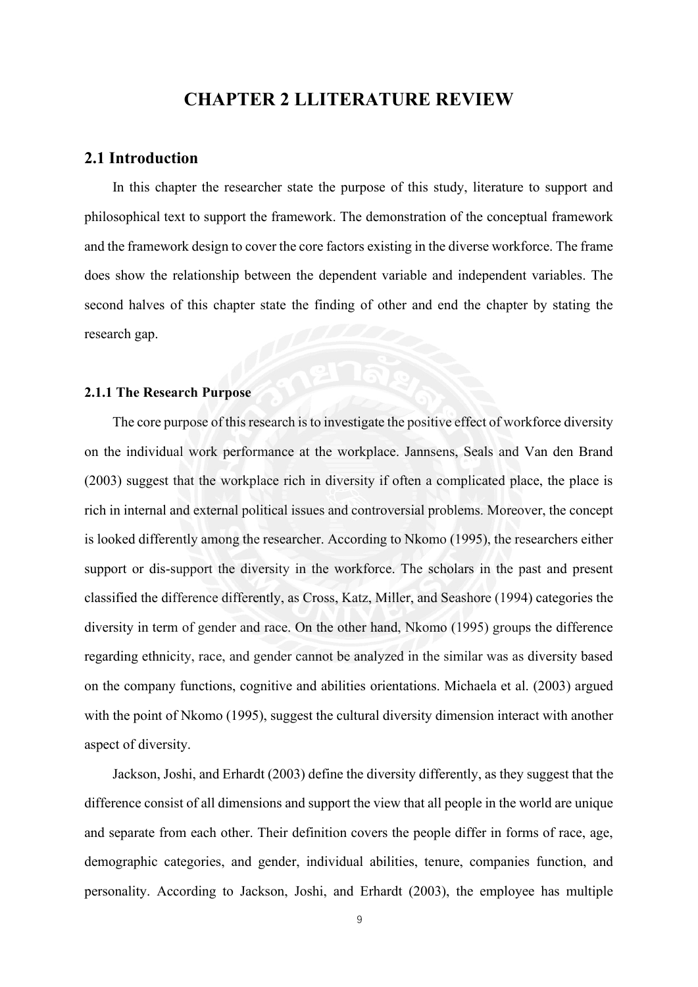# **CHAPTER 2 LLITERATURE REVIEW**

### <span id="page-12-1"></span><span id="page-12-0"></span>**2.1 Introduction**

In this chapter the researcher state the purpose of this study, literature to support and philosophical text to support the framework. The demonstration of the conceptual framework and the framework design to cover the core factors existing in the diverse workforce. The frame does show the relationship between the dependent variable and independent variables. The second halves of this chapter state the finding of other and end the chapter by stating the research gap.

### <span id="page-12-2"></span>**2.1.1 The Research Purpose**

The core purpose of this research is to investigate the positive effect of workforce diversity on the individual work performance at the workplace. Jannsens, Seals and Van den Brand (2003) suggest that the workplace rich in diversity if often a complicated place, the place is rich in internal and external political issues and controversial problems. Moreover, the concept is looked differently among the researcher. According to Nkomo (1995), the researchers either support or dis-support the diversity in the workforce. The scholars in the past and present classified the difference differently, as Cross, Katz, Miller, and Seashore (1994) categories the diversity in term of gender and race. On the other hand, Nkomo (1995) groups the difference regarding ethnicity, race, and gender cannot be analyzed in the similar was as diversity based on the company functions, cognitive and abilities orientations. Michaela et al. (2003) argued with the point of Nkomo (1995), suggest the cultural diversity dimension interact with another aspect of diversity.

Jackson, Joshi, and Erhardt (2003) define the diversity differently, as they suggest that the difference consist of all dimensions and support the view that all people in the world are unique and separate from each other. Their definition covers the people differ in forms of race, age, demographic categories, and gender, individual abilities, tenure, companies function, and personality. According to Jackson, Joshi, and Erhardt (2003), the employee has multiple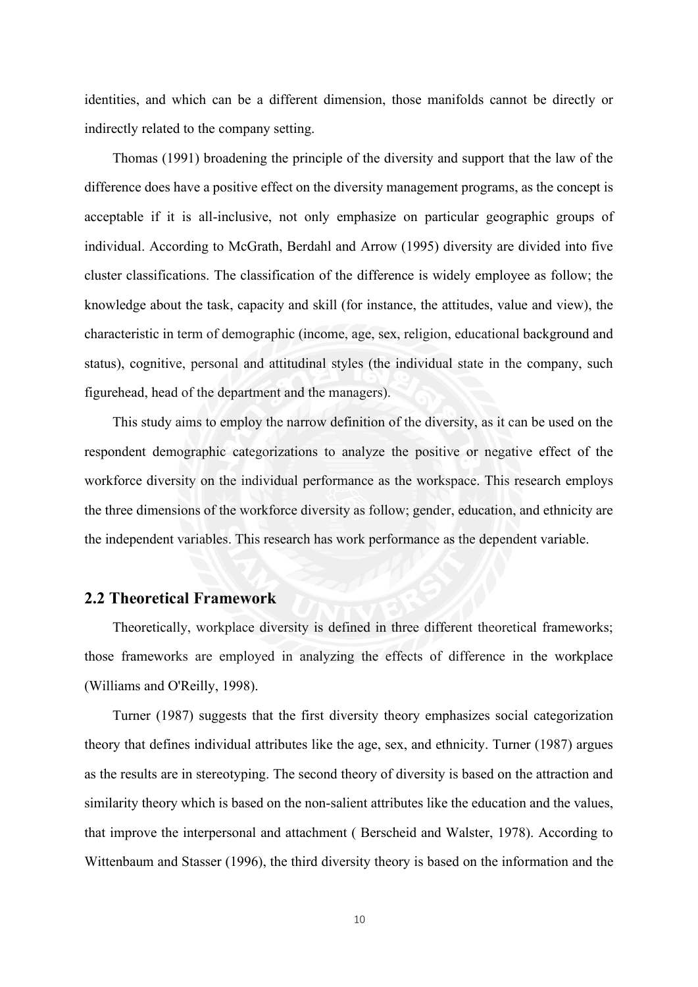identities, and which can be a different dimension, those manifolds cannot be directly or indirectly related to the company setting.

Thomas (1991) broadening the principle of the diversity and support that the law of the difference does have a positive effect on the diversity management programs, as the concept is acceptable if it is all-inclusive, not only emphasize on particular geographic groups of individual. According to McGrath, Berdahl and Arrow (1995) diversity are divided into five cluster classifications. The classification of the difference is widely employee as follow; the knowledge about the task, capacity and skill (for instance, the attitudes, value and view), the characteristic in term of demographic (income, age, sex, religion, educational background and status), cognitive, personal and attitudinal styles (the individual state in the company, such figurehead, head of the department and the managers).

This study aims to employ the narrow definition of the diversity, as it can be used on the respondent demographic categorizations to analyze the positive or negative effect of the workforce diversity on the individual performance as the workspace. This research employs the three dimensions of the workforce diversity as follow; gender, education, and ethnicity are the independent variables. This research has work performance as the dependent variable.

# <span id="page-13-0"></span>**2.2 Theoretical Framework**

Theoretically, workplace diversity is defined in three different theoretical frameworks; those frameworks are employed in analyzing the effects of difference in the workplace (Williams and O'Reilly, 1998).

Turner (1987) suggests that the first diversity theory emphasizes social categorization theory that defines individual attributes like the age, sex, and ethnicity. Turner (1987) argues as the results are in stereotyping. The second theory of diversity is based on the attraction and similarity theory which is based on the non-salient attributes like the education and the values, that improve the interpersonal and attachment ( Berscheid and Walster, 1978). According to Wittenbaum and Stasser (1996), the third diversity theory is based on the information and the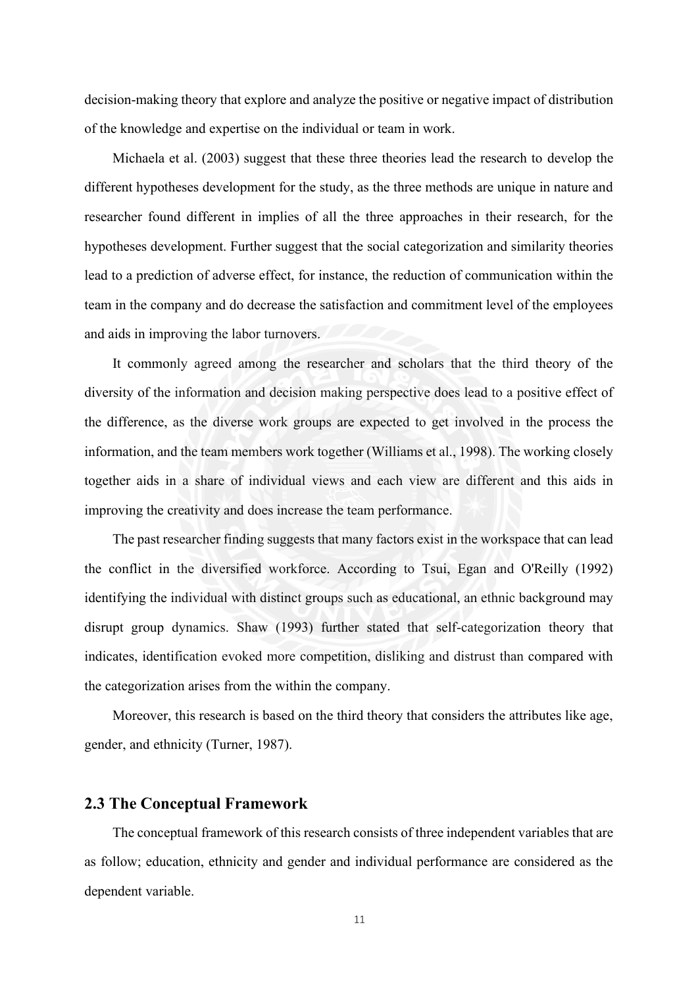decision-making theory that explore and analyze the positive or negative impact of distribution of the knowledge and expertise on the individual or team in work.

Michaela et al. (2003) suggest that these three theories lead the research to develop the different hypotheses development for the study, as the three methods are unique in nature and researcher found different in implies of all the three approaches in their research, for the hypotheses development. Further suggest that the social categorization and similarity theories lead to a prediction of adverse effect, for instance, the reduction of communication within the team in the company and do decrease the satisfaction and commitment level of the employees and aids in improving the labor turnovers.

It commonly agreed among the researcher and scholars that the third theory of the diversity of the information and decision making perspective does lead to a positive effect of the difference, as the diverse work groups are expected to get involved in the process the information, and the team members work together (Williams et al., 1998). The working closely together aids in a share of individual views and each view are different and this aids in improving the creativity and does increase the team performance.

The past researcher finding suggests that many factors exist in the workspace that can lead the conflict in the diversified workforce. According to Tsui, Egan and O'Reilly (1992) identifying the individual with distinct groups such as educational, an ethnic background may disrupt group dynamics. Shaw (1993) further stated that self-categorization theory that indicates, identification evoked more competition, disliking and distrust than compared with the categorization arises from the within the company.

Moreover, this research is based on the third theory that considers the attributes like age, gender, and ethnicity (Turner, 1987).

## <span id="page-14-0"></span>**2.3 The Conceptual Framework**

The conceptual framework of this research consists of three independent variables that are as follow; education, ethnicity and gender and individual performance are considered as the dependent variable.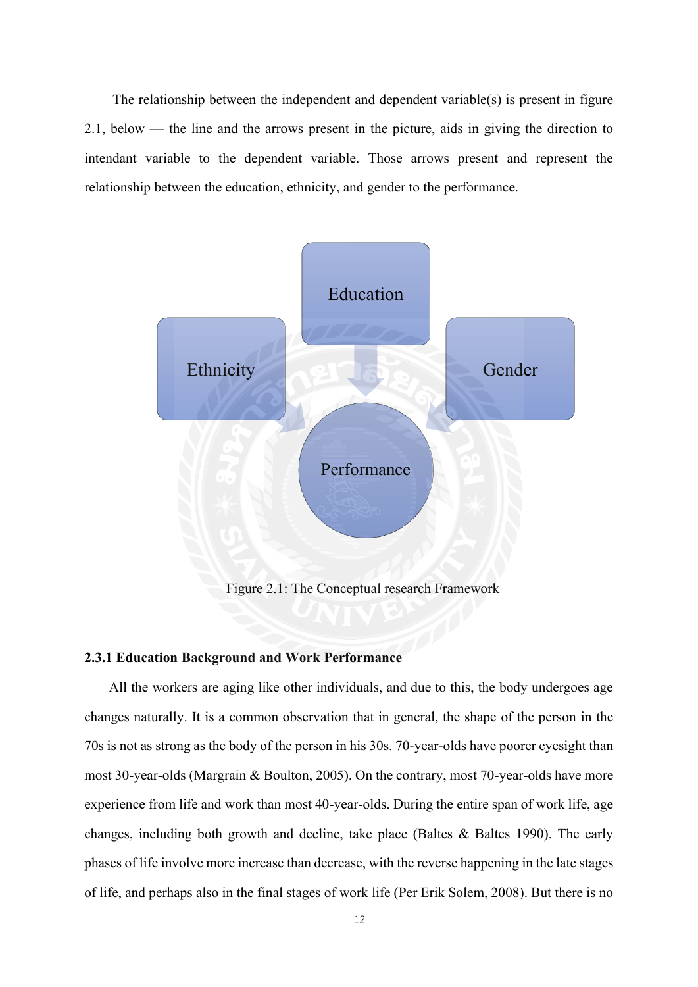The relationship between the independent and dependent variable(s) is present in figure 2.1, below — the line and the arrows present in the picture, aids in giving the direction to intendant variable to the dependent variable. Those arrows present and represent the relationship between the education, ethnicity, and gender to the performance.



Figure 2.1: The Conceptual research Framework

### <span id="page-15-0"></span>**2.3.1 Education Background and Work Performance**

All the workers are aging like other individuals, and due to this, the body undergoes age changes naturally. It is a common observation that in general, the shape of the person in the 70s is not as strong as the body of the person in his 30s. 70-year-olds have poorer eyesight than most 30-year-olds (Margrain & Boulton, 2005). On the contrary, most 70-year-olds have more experience from life and work than most 40-year-olds. During the entire span of work life, age changes, including both growth and decline, take place (Baltes  $\&$  Baltes 1990). The early phases of life involve more increase than decrease, with the reverse happening in the late stages of life, and perhaps also in the final stages of work life (Per Erik Solem, 2008). But there is no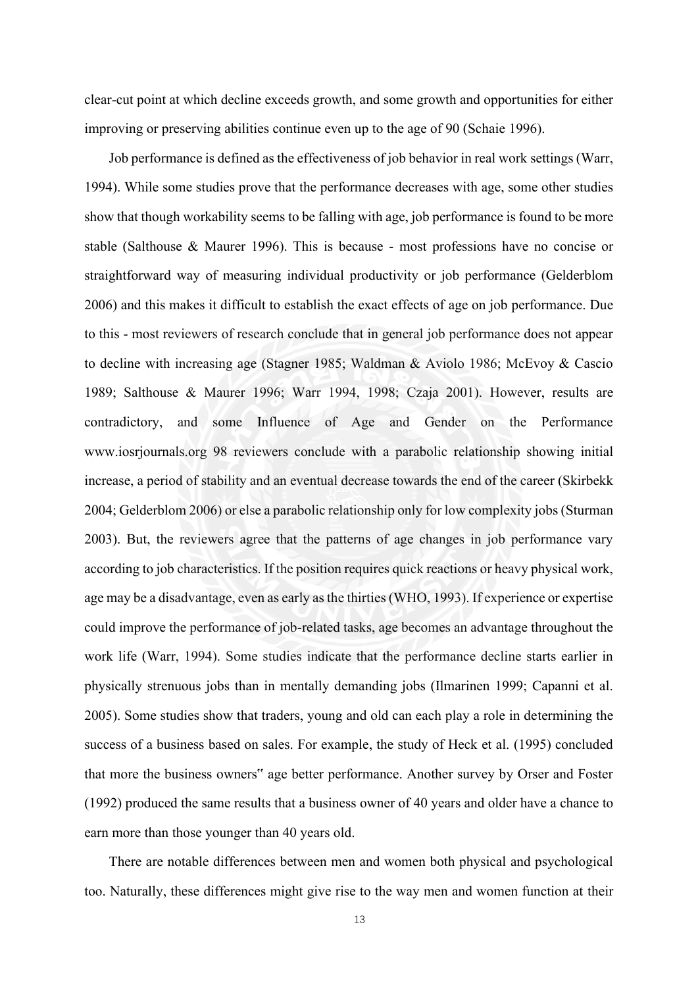clear-cut point at which decline exceeds growth, and some growth and opportunities for either improving or preserving abilities continue even up to the age of 90 (Schaie 1996).

Job performance is defined as the effectiveness of job behavior in real work settings (Warr, 1994). While some studies prove that the performance decreases with age, some other studies show that though workability seems to be falling with age, job performance is found to be more stable (Salthouse & Maurer 1996). This is because - most professions have no concise or straightforward way of measuring individual productivity or job performance (Gelderblom 2006) and this makes it difficult to establish the exact effects of age on job performance. Due to this - most reviewers of research conclude that in general job performance does not appear to decline with increasing age (Stagner 1985; Waldman & Aviolo 1986; McEvoy & Cascio 1989; Salthouse & Maurer 1996; Warr 1994, 1998; Czaja 2001). However, results are contradictory, and some Influence of Age and Gender on the Performance www.iosrjournals.org 98 reviewers conclude with a parabolic relationship showing initial increase, a period of stability and an eventual decrease towards the end of the career (Skirbekk 2004; Gelderblom 2006) or else a parabolic relationship only for low complexity jobs (Sturman 2003). But, the reviewers agree that the patterns of age changes in job performance vary according to job characteristics. If the position requires quick reactions or heavy physical work, age may be a disadvantage, even as early as the thirties (WHO, 1993). If experience or expertise could improve the performance of job-related tasks, age becomes an advantage throughout the work life (Warr, 1994). Some studies indicate that the performance decline starts earlier in physically strenuous jobs than in mentally demanding jobs (Ilmarinen 1999; Capanni et al. 2005). Some studies show that traders, young and old can each play a role in determining the success of a business based on sales. For example, the study of Heck et al. (1995) concluded that more the business owners" age better performance. Another survey by Orser and Foster (1992) produced the same results that a business owner of 40 years and older have a chance to earn more than those younger than 40 years old.

There are notable differences between men and women both physical and psychological too. Naturally, these differences might give rise to the way men and women function at their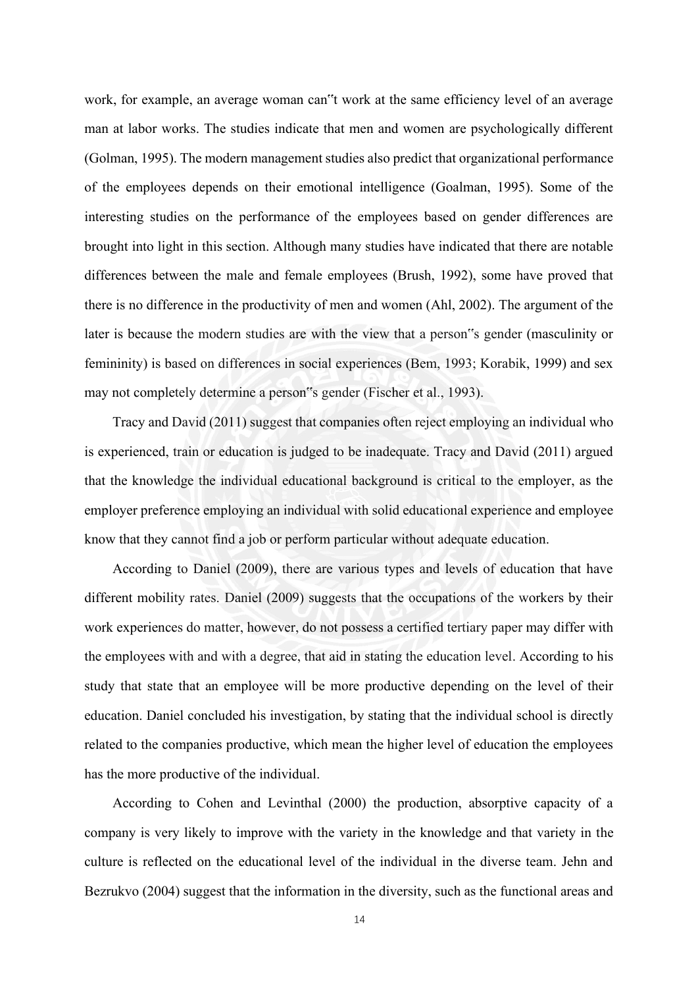work, for example, an average woman can"t work at the same efficiency level of an average man at labor works. The studies indicate that men and women are psychologically different (Golman, 1995). The modern management studies also predict that organizational performance of the employees depends on their emotional intelligence (Goalman, 1995). Some of the interesting studies on the performance of the employees based on gender differences are brought into light in this section. Although many studies have indicated that there are notable differences between the male and female employees (Brush, 1992), some have proved that there is no difference in the productivity of men and women (Ahl, 2002). The argument of the later is because the modern studies are with the view that a person"s gender (masculinity or femininity) is based on differences in social experiences (Bem, 1993; Korabik, 1999) and sex may not completely determine a person"s gender (Fischer et al., 1993).

Tracy and David (2011) suggest that companies often reject employing an individual who is experienced, train or education is judged to be inadequate. Tracy and David (2011) argued that the knowledge the individual educational background is critical to the employer, as the employer preference employing an individual with solid educational experience and employee know that they cannot find a job or perform particular without adequate education.

According to Daniel (2009), there are various types and levels of education that have different mobility rates. Daniel (2009) suggests that the occupations of the workers by their work experiences do matter, however, do not possess a certified tertiary paper may differ with the employees with and with a degree, that aid in stating the education level. According to his study that state that an employee will be more productive depending on the level of their education. Daniel concluded his investigation, by stating that the individual school is directly related to the companies productive, which mean the higher level of education the employees has the more productive of the individual.

According to Cohen and Levinthal (2000) the production, absorptive capacity of a company is very likely to improve with the variety in the knowledge and that variety in the culture is reflected on the educational level of the individual in the diverse team. Jehn and Bezrukvo (2004) suggest that the information in the diversity, such as the functional areas and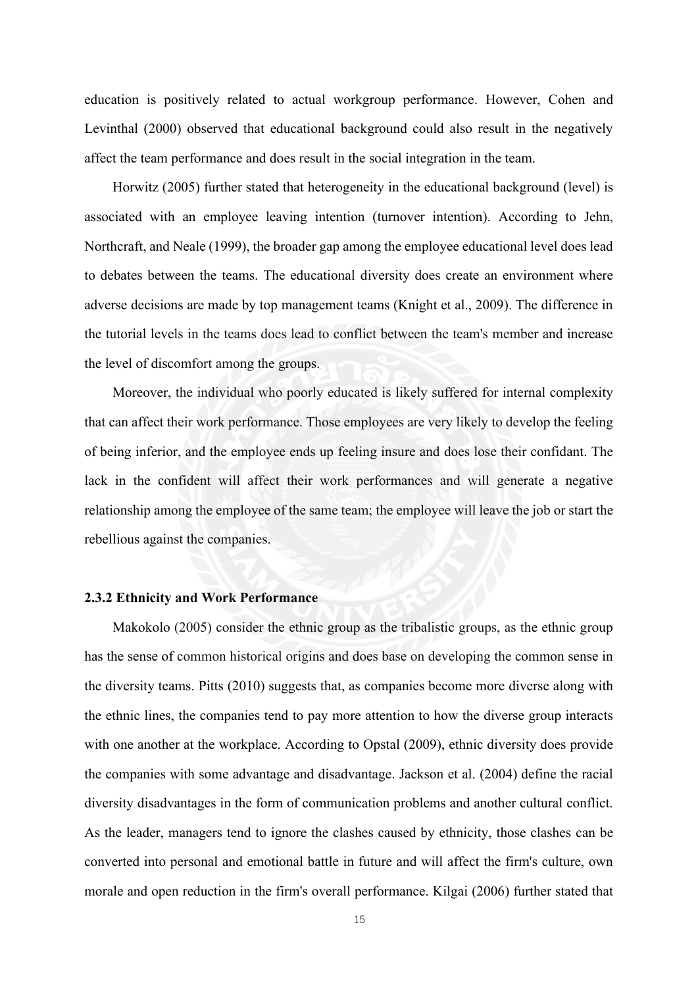education is positively related to actual workgroup performance. However, Cohen and Levinthal (2000) observed that educational background could also result in the negatively affect the team performance and does result in the social integration in the team.

Horwitz (2005) further stated that heterogeneity in the educational background (level) is associated with an employee leaving intention (turnover intention). According to Jehn, Northcraft, and Neale (1999), the broader gap among the employee educational level does lead to debates between the teams. The educational diversity does create an environment where adverse decisions are made by top management teams (Knight et al., 2009). The difference in the tutorial levels in the teams does lead to conflict between the team's member and increase the level of discomfort among the groups.

Moreover, the individual who poorly educated is likely suffered for internal complexity that can affect their work performance. Those employees are very likely to develop the feeling of being inferior, and the employee ends up feeling insure and does lose their confidant. The lack in the confident will affect their work performances and will generate a negative relationship among the employee of the same team; the employee will leave the job or start the rebellious against the companies.

### <span id="page-18-0"></span>**2.3.2 Ethnicity and Work Performance**

Makokolo (2005) consider the ethnic group as the tribalistic groups, as the ethnic group has the sense of common historical origins and does base on developing the common sense in the diversity teams. Pitts (2010) suggests that, as companies become more diverse along with the ethnic lines, the companies tend to pay more attention to how the diverse group interacts with one another at the workplace. According to Opstal (2009), ethnic diversity does provide the companies with some advantage and disadvantage. Jackson et al. (2004) define the racial diversity disadvantages in the form of communication problems and another cultural conflict. As the leader, managers tend to ignore the clashes caused by ethnicity, those clashes can be converted into personal and emotional battle in future and will affect the firm's culture, own morale and open reduction in the firm's overall performance. Kilgai (2006) further stated that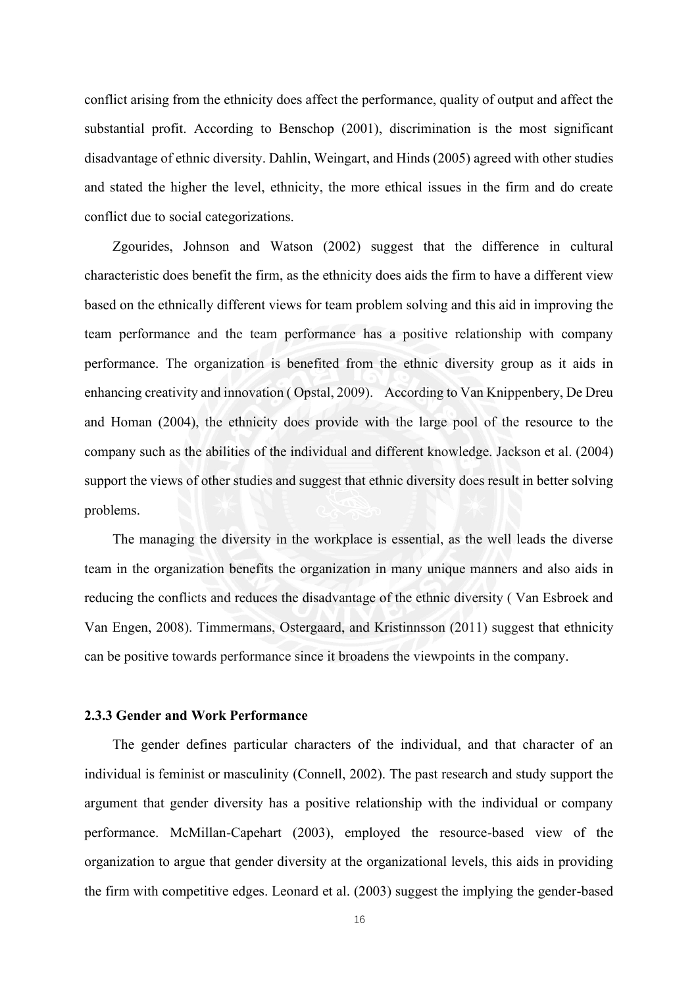conflict arising from the ethnicity does affect the performance, quality of output and affect the substantial profit. According to Benschop (2001), discrimination is the most significant disadvantage of ethnic diversity. Dahlin, Weingart, and Hinds (2005) agreed with other studies and stated the higher the level, ethnicity, the more ethical issues in the firm and do create conflict due to social categorizations.

Zgourides, Johnson and Watson (2002) suggest that the difference in cultural characteristic does benefit the firm, as the ethnicity does aids the firm to have a different view based on the ethnically different views for team problem solving and this aid in improving the team performance and the team performance has a positive relationship with company performance. The organization is benefited from the ethnic diversity group as it aids in enhancing creativity and innovation ( Opstal, 2009). According to Van Knippenbery, De Dreu and Homan (2004), the ethnicity does provide with the large pool of the resource to the company such as the abilities of the individual and different knowledge. Jackson et al. (2004) support the views of other studies and suggest that ethnic diversity does result in better solving problems.

The managing the diversity in the workplace is essential, as the well leads the diverse team in the organization benefits the organization in many unique manners and also aids in reducing the conflicts and reduces the disadvantage of the ethnic diversity ( Van Esbroek and Van Engen, 2008). Timmermans, Ostergaard, and Kristinnsson (2011) suggest that ethnicity can be positive towards performance since it broadens the viewpoints in the company.

### <span id="page-19-0"></span>**2.3.3 Gender and Work Performance**

The gender defines particular characters of the individual, and that character of an individual is feminist or masculinity (Connell, 2002). The past research and study support the argument that gender diversity has a positive relationship with the individual or company performance. McMillan-Capehart (2003), employed the resource-based view of the organization to argue that gender diversity at the organizational levels, this aids in providing the firm with competitive edges. Leonard et al. (2003) suggest the implying the gender-based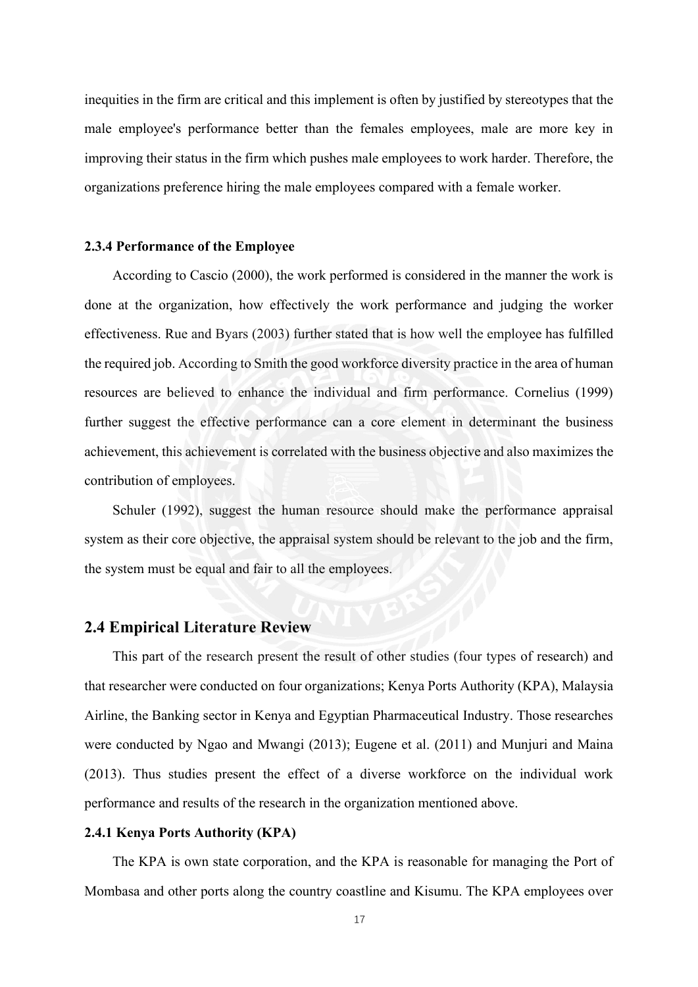inequities in the firm are critical and this implement is often by justified by stereotypes that the male employee's performance better than the females employees, male are more key in improving their status in the firm which pushes male employees to work harder. Therefore, the organizations preference hiring the male employees compared with a female worker.

### <span id="page-20-0"></span>**2.3.4 Performance of the Employee**

According to Cascio (2000), the work performed is considered in the manner the work is done at the organization, how effectively the work performance and judging the worker effectiveness. Rue and Byars (2003) further stated that is how well the employee has fulfilled the required job. According to Smith the good workforce diversity practice in the area of human resources are believed to enhance the individual and firm performance. Cornelius (1999) further suggest the effective performance can a core element in determinant the business achievement, this achievement is correlated with the business objective and also maximizes the contribution of employees.

Schuler (1992), suggest the human resource should make the performance appraisal system as their core objective, the appraisal system should be relevant to the job and the firm, the system must be equal and fair to all the employees.

# <span id="page-20-1"></span>**2.4 Empirical Literature Review**

This part of the research present the result of other studies (four types of research) and that researcher were conducted on four organizations; Kenya Ports Authority (KPA), Malaysia Airline, the Banking sector in Kenya and Egyptian Pharmaceutical Industry. Those researches were conducted by Ngao and Mwangi (2013); Eugene et al. (2011) and Munjuri and Maina (2013). Thus studies present the effect of a diverse workforce on the individual work performance and results of the research in the organization mentioned above.

### <span id="page-20-2"></span>**2.4.1 Kenya Ports Authority (KPA)**

The KPA is own state corporation, and the KPA is reasonable for managing the Port of Mombasa and other ports along the country coastline and Kisumu. The KPA employees over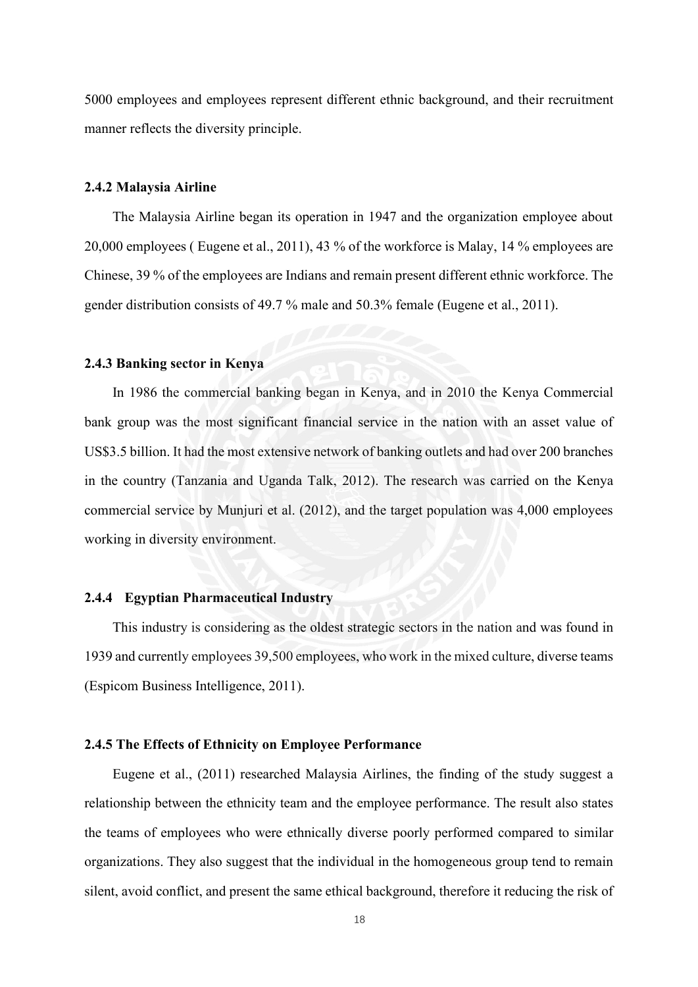5000 employees and employees represent different ethnic background, and their recruitment manner reflects the diversity principle.

#### <span id="page-21-0"></span>**2.4.2 Malaysia Airline**

The Malaysia Airline began its operation in 1947 and the organization employee about 20,000 employees ( Eugene et al., 2011), 43 % of the workforce is Malay, 14 % employees are Chinese, 39 % of the employees are Indians and remain present different ethnic workforce. The gender distribution consists of 49.7 % male and 50.3% female (Eugene et al., 2011).

#### <span id="page-21-1"></span>**2.4.3 Banking sector in Kenya**

In 1986 the commercial banking began in Kenya, and in 2010 the Kenya Commercial bank group was the most significant financial service in the nation with an asset value of US\$3.5 billion. It had the most extensive network of banking outlets and had over 200 branches in the country (Tanzania and Uganda Talk, 2012). The research was carried on the Kenya commercial service by Munjuri et al. (2012), and the target population was 4,000 employees working in diversity environment.

### <span id="page-21-2"></span>**2.4.4 Egyptian Pharmaceutical Industry**

This industry is considering as the oldest strategic sectors in the nation and was found in 1939 and currently employees 39,500 employees, who work in the mixed culture, diverse teams (Espicom Business Intelligence, 2011).

#### <span id="page-21-3"></span>**2.4.5 The Effects of Ethnicity on Employee Performance**

Eugene et al., (2011) researched Malaysia Airlines, the finding of the study suggest a relationship between the ethnicity team and the employee performance. The result also states the teams of employees who were ethnically diverse poorly performed compared to similar organizations. They also suggest that the individual in the homogeneous group tend to remain silent, avoid conflict, and present the same ethical background, therefore it reducing the risk of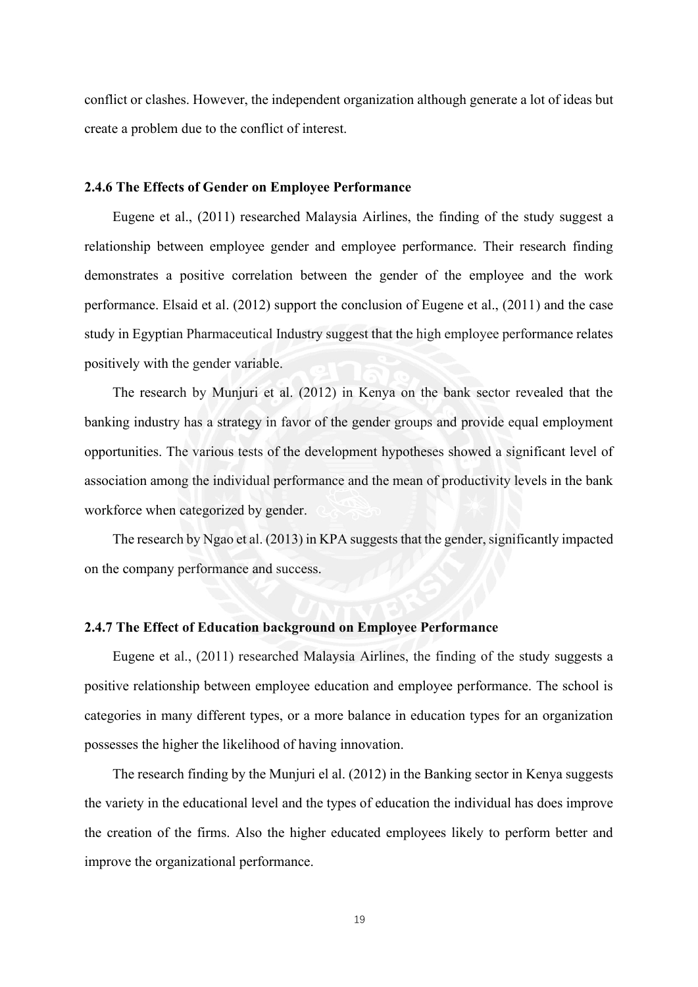conflict or clashes. However, the independent organization although generate a lot of ideas but create a problem due to the conflict of interest.

### <span id="page-22-0"></span>**2.4.6 The Effects of Gender on Employee Performance**

Eugene et al., (2011) researched Malaysia Airlines, the finding of the study suggest a relationship between employee gender and employee performance. Their research finding demonstrates a positive correlation between the gender of the employee and the work performance. Elsaid et al. (2012) support the conclusion of Eugene et al., (2011) and the case study in Egyptian Pharmaceutical Industry suggest that the high employee performance relates positively with the gender variable.

The research by Munjuri et al. (2012) in Kenya on the bank sector revealed that the banking industry has a strategy in favor of the gender groups and provide equal employment opportunities. The various tests of the development hypotheses showed a significant level of association among the individual performance and the mean of productivity levels in the bank workforce when categorized by gender.

The research by Ngao et al. (2013) in KPA suggests that the gender, significantly impacted on the company performance and success.

#### <span id="page-22-1"></span>**2.4.7 The Effect of Education background on Employee Performance**

Eugene et al., (2011) researched Malaysia Airlines, the finding of the study suggests a positive relationship between employee education and employee performance. The school is categories in many different types, or a more balance in education types for an organization possesses the higher the likelihood of having innovation.

The research finding by the Munjuri el al. (2012) in the Banking sector in Kenya suggests the variety in the educational level and the types of education the individual has does improve the creation of the firms. Also the higher educated employees likely to perform better and improve the organizational performance.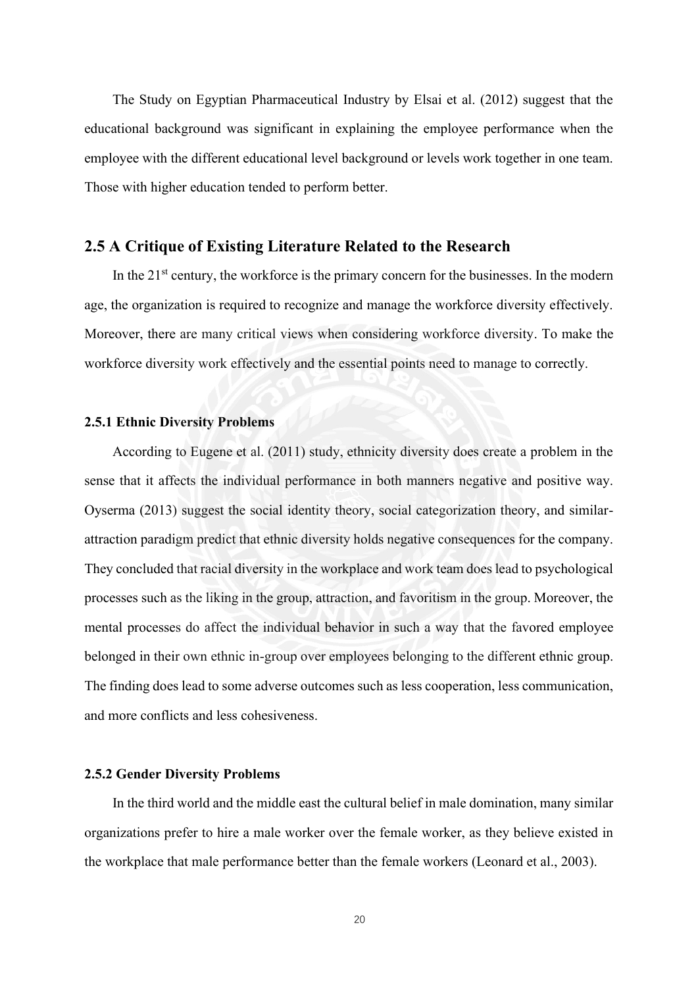The Study on Egyptian Pharmaceutical Industry by Elsai et al. (2012) suggest that the educational background was significant in explaining the employee performance when the employee with the different educational level background or levels work together in one team. Those with higher education tended to perform better.

# <span id="page-23-0"></span>**2.5 A Critique of Existing Literature Related to the Research**

In the  $21<sup>st</sup>$  century, the workforce is the primary concern for the businesses. In the modern age, the organization is required to recognize and manage the workforce diversity effectively. Moreover, there are many critical views when considering workforce diversity. To make the workforce diversity work effectively and the essential points need to manage to correctly.

### <span id="page-23-1"></span>**2.5.1 Ethnic Diversity Problems**

According to Eugene et al. (2011) study, ethnicity diversity does create a problem in the sense that it affects the individual performance in both manners negative and positive way. Oyserma (2013) suggest the social identity theory, social categorization theory, and similarattraction paradigm predict that ethnic diversity holds negative consequences for the company. They concluded that racial diversity in the workplace and work team does lead to psychological processes such as the liking in the group, attraction, and favoritism in the group. Moreover, the mental processes do affect the individual behavior in such a way that the favored employee belonged in their own ethnic in-group over employees belonging to the different ethnic group. The finding does lead to some adverse outcomes such as less cooperation, less communication, and more conflicts and less cohesiveness.

#### <span id="page-23-2"></span>**2.5.2 Gender Diversity Problems**

In the third world and the middle east the cultural belief in male domination, many similar organizations prefer to hire a male worker over the female worker, as they believe existed in the workplace that male performance better than the female workers (Leonard et al., 2003).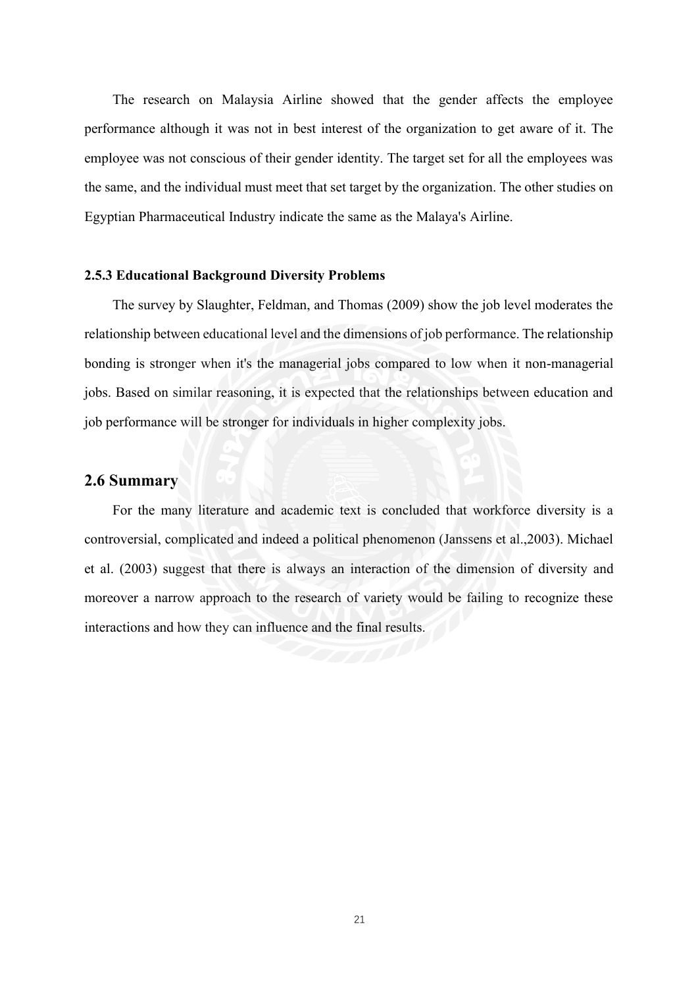The research on Malaysia Airline showed that the gender affects the employee performance although it was not in best interest of the organization to get aware of it. The employee was not conscious of their gender identity. The target set for all the employees was the same, and the individual must meet that set target by the organization. The other studies on Egyptian Pharmaceutical Industry indicate the same as the Malaya's Airline.

### <span id="page-24-0"></span>**2.5.3 Educational Background Diversity Problems**

The survey by Slaughter, Feldman, and Thomas (2009) show the job level moderates the relationship between educational level and the dimensions of job performance. The relationship bonding is stronger when it's the managerial jobs compared to low when it non-managerial jobs. Based on similar reasoning, it is expected that the relationships between education and job performance will be stronger for individuals in higher complexity jobs.

### <span id="page-24-1"></span>**2.6 Summary**

<span id="page-24-2"></span>For the many literature and academic text is concluded that workforce diversity is a controversial, complicated and indeed a political phenomenon (Janssens et al.,2003). Michael et al. (2003) suggest that there is always an interaction of the dimension of diversity and moreover a narrow approach to the research of variety would be failing to recognize these interactions and how they can influence and the final results.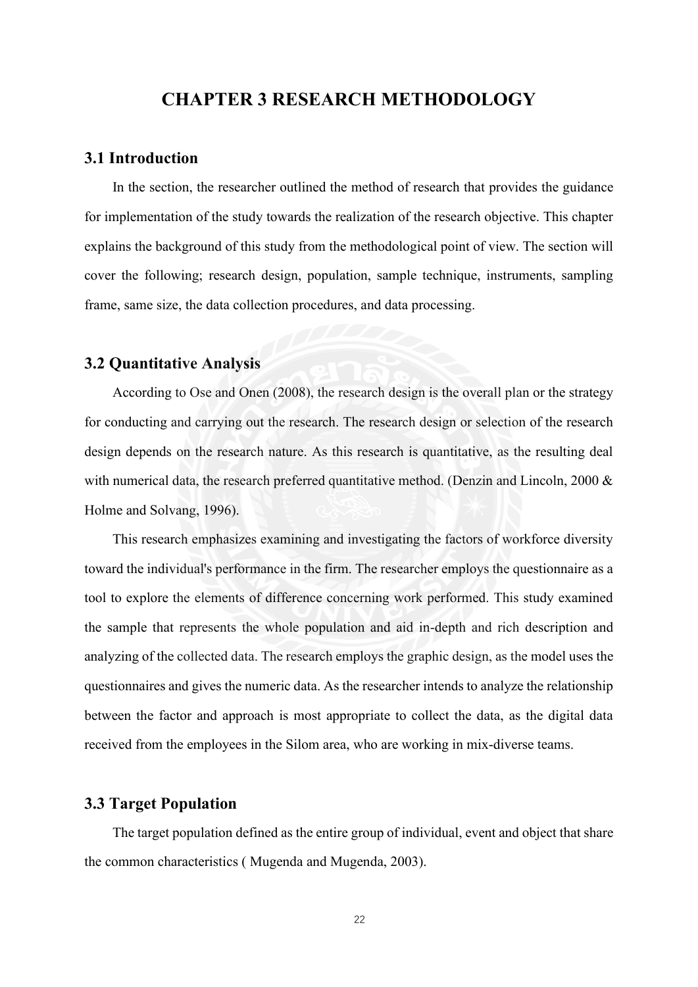# **CHAPTER 3 RESEARCH METHODOLOGY**

### <span id="page-25-0"></span>**3.1 Introduction**

In the section, the researcher outlined the method of research that provides the guidance for implementation of the study towards the realization of the research objective. This chapter explains the background of this study from the methodological point of view. The section will cover the following; research design, population, sample technique, instruments, sampling frame, same size, the data collection procedures, and data processing.

### <span id="page-25-1"></span>**3.2 Quantitative Analysis**

According to Ose and Onen (2008), the research design is the overall plan or the strategy for conducting and carrying out the research. The research design or selection of the research design depends on the research nature. As this research is quantitative, as the resulting deal with numerical data, the research preferred quantitative method. (Denzin and Lincoln, 2000 & Holme and Solvang, 1996).

This research emphasizes examining and investigating the factors of workforce diversity toward the individual's performance in the firm. The researcher employs the questionnaire as a tool to explore the elements of difference concerning work performed. This study examined the sample that represents the whole population and aid in-depth and rich description and analyzing of the collected data. The research employs the graphic design, as the model uses the questionnaires and gives the numeric data. As the researcher intends to analyze the relationship between the factor and approach is most appropriate to collect the data, as the digital data received from the employees in the Silom area, who are working in mix-diverse teams.

# <span id="page-25-2"></span>**3.3 Target Population**

The target population defined as the entire group of individual, event and object that share the common characteristics ( Mugenda and Mugenda, 2003).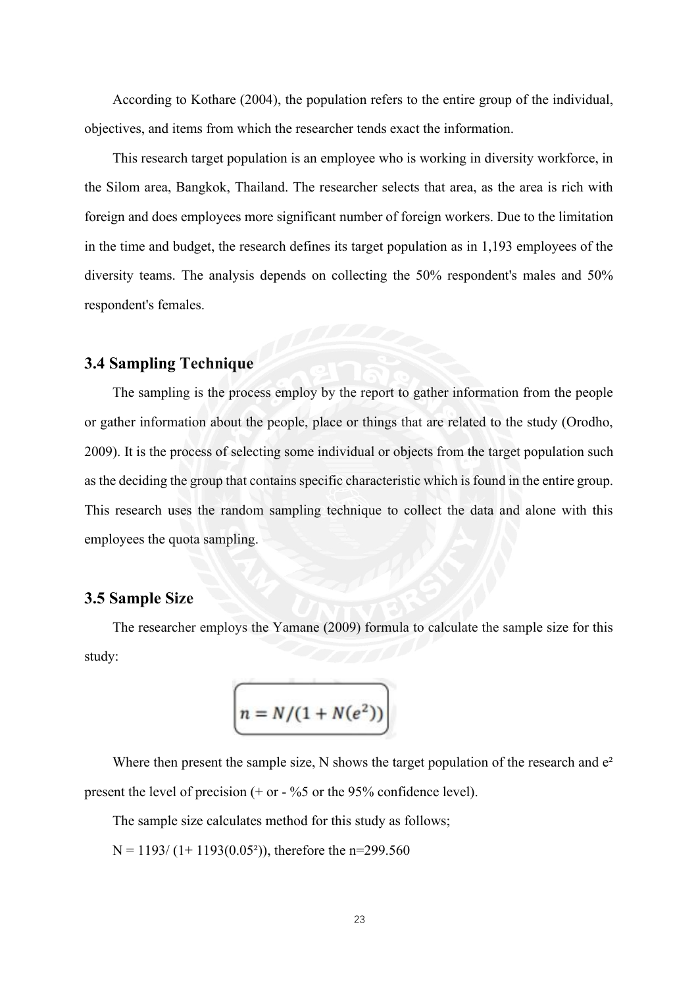According to Kothare (2004), the population refers to the entire group of the individual, objectives, and items from which the researcher tends exact the information.

This research target population is an employee who is working in diversity workforce, in the Silom area, Bangkok, Thailand. The researcher selects that area, as the area is rich with foreign and does employees more significant number of foreign workers. Due to the limitation in the time and budget, the research defines its target population as in 1,193 employees of the diversity teams. The analysis depends on collecting the 50% respondent's males and 50% respondent's females.

# <span id="page-26-0"></span>**3.4 Sampling Technique**

The sampling is the process employ by the report to gather information from the people or gather information about the people, place or things that are related to the study (Orodho, 2009). It is the process of selecting some individual or objects from the target population such as the deciding the group that contains specific characteristic which is found in the entire group. This research uses the random sampling technique to collect the data and alone with this employees the quota sampling.

# <span id="page-26-1"></span>**3.5 Sample Size**

The researcher employs the Yamane (2009) formula to calculate the sample size for this study:

$$
\left(n = N/(1 + N(e^2))\right)
$$

Where then present the sample size, N shows the target population of the research and  $e<sup>2</sup>$ present the level of precision  $(+ or - %5 or the 95% confidence level)$ .

The sample size calculates method for this study as follows;

 $N = 1193/(1 + 1193(0.05^2))$ , therefore the n=299.560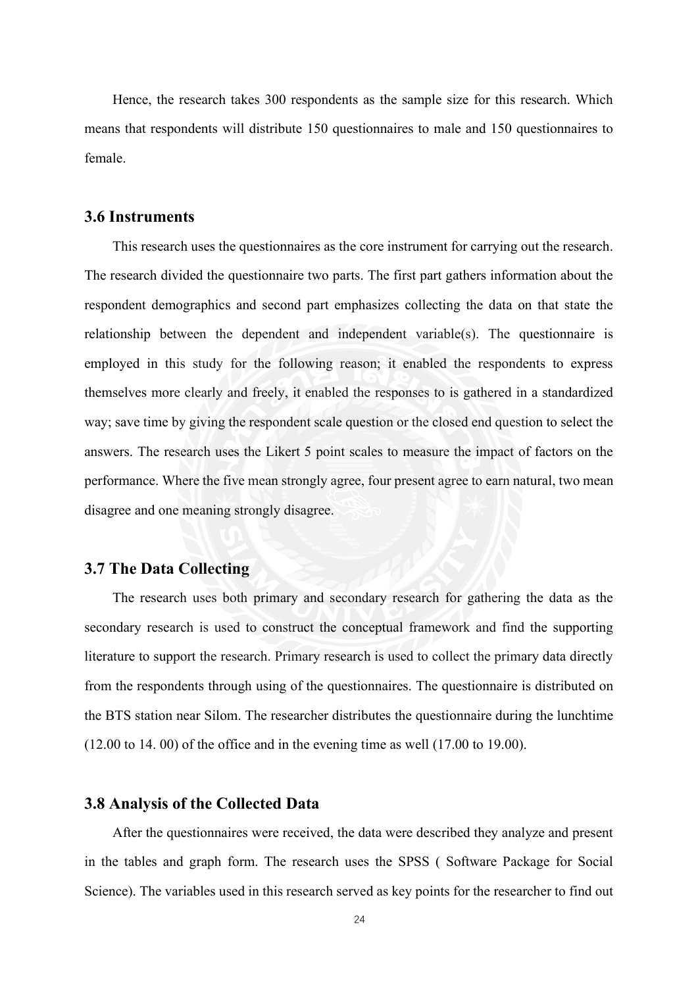Hence, the research takes 300 respondents as the sample size for this research. Which means that respondents will distribute 150 questionnaires to male and 150 questionnaires to female.

### <span id="page-27-0"></span>**3.6 Instruments**

This research uses the questionnaires as the core instrument for carrying out the research. The research divided the questionnaire two parts. The first part gathers information about the respondent demographics and second part emphasizes collecting the data on that state the relationship between the dependent and independent variable(s). The questionnaire is employed in this study for the following reason; it enabled the respondents to express themselves more clearly and freely, it enabled the responses to is gathered in a standardized way; save time by giving the respondent scale question or the closed end question to select the answers. The research uses the Likert 5 point scales to measure the impact of factors on the performance. Where the five mean strongly agree, four present agree to earn natural, two mean disagree and one meaning strongly disagree.

# <span id="page-27-1"></span>**3.7 The Data Collecting**

The research uses both primary and secondary research for gathering the data as the secondary research is used to construct the conceptual framework and find the supporting literature to support the research. Primary research is used to collect the primary data directly from the respondents through using of the questionnaires. The questionnaire is distributed on the BTS station near Silom. The researcher distributes the questionnaire during the lunchtime (12.00 to 14. 00) of the office and in the evening time as well (17.00 to 19.00).

## <span id="page-27-2"></span>**3.8 Analysis of the Collected Data**

After the questionnaires were received, the data were described they analyze and present in the tables and graph form. The research uses the SPSS ( Software Package for Social Science). The variables used in this research served as key points for the researcher to find out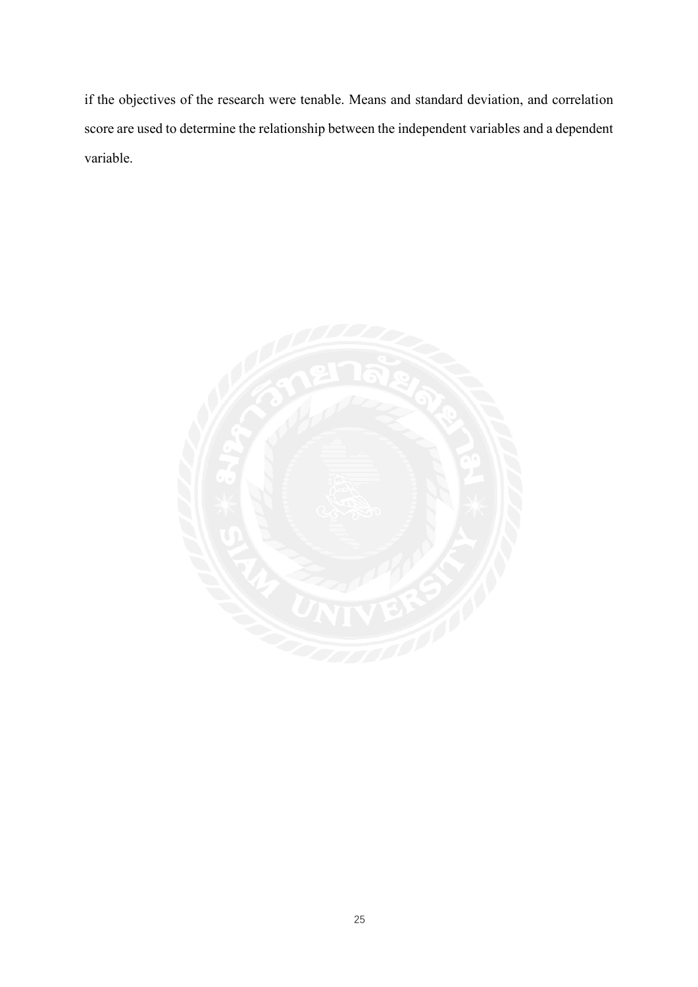if the objectives of the research were tenable. Means and standard deviation, and correlation score are used to determine the relationship between the independent variables and a dependent variable.

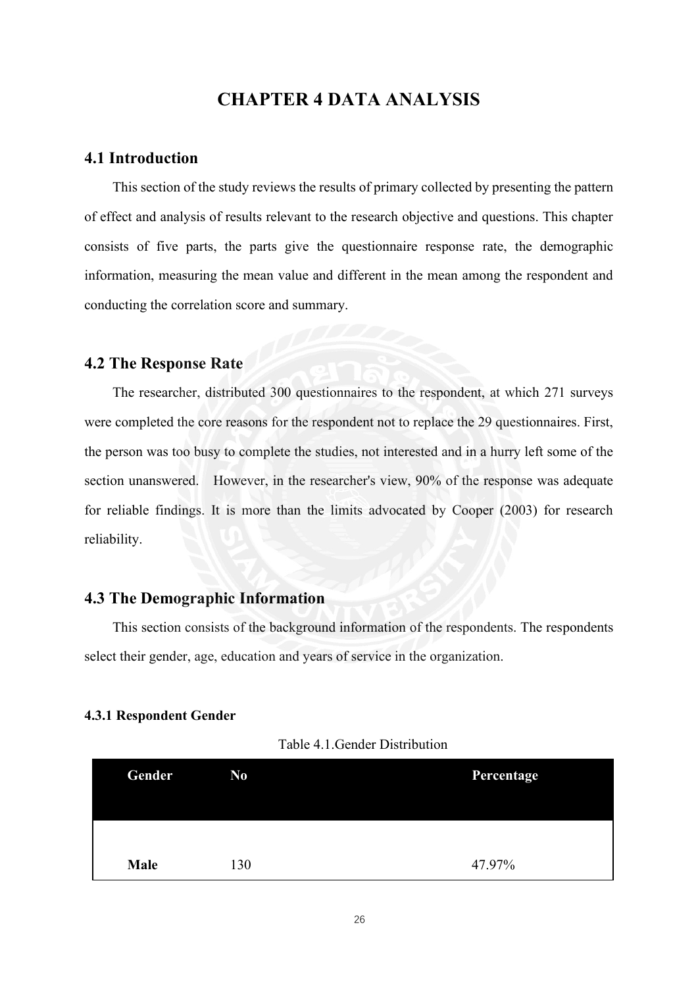# **CHAPTER 4 DATA ANALYSIS**

### <span id="page-29-1"></span><span id="page-29-0"></span>**4.1 Introduction**

This section of the study reviews the results of primary collected by presenting the pattern of effect and analysis of results relevant to the research objective and questions. This chapter consists of five parts, the parts give the questionnaire response rate, the demographic information, measuring the mean value and different in the mean among the respondent and conducting the correlation score and summary.

### <span id="page-29-2"></span>**4.2 The Response Rate**

The researcher, distributed 300 questionnaires to the respondent, at which 271 surveys were completed the core reasons for the respondent not to replace the 29 questionnaires. First, the person was too busy to complete the studies, not interested and in a hurry left some of the section unanswered. However, in the researcher's view, 90% of the response was adequate for reliable findings. It is more than the limits advocated by Cooper (2003) for research reliability.

# <span id="page-29-3"></span>**4.3 The Demographic Information**

This section consists of the background information of the respondents. The respondents select their gender, age, education and years of service in the organization.

### <span id="page-29-4"></span>**4.3.1 Respondent Gender**

| Table 4.1. Gender Distribution |  |
|--------------------------------|--|
|--------------------------------|--|

| Gender | N <sub>0</sub> | Percentage |
|--------|----------------|------------|
|        |                |            |
|        |                |            |
| Male   | 130            | 47.97%     |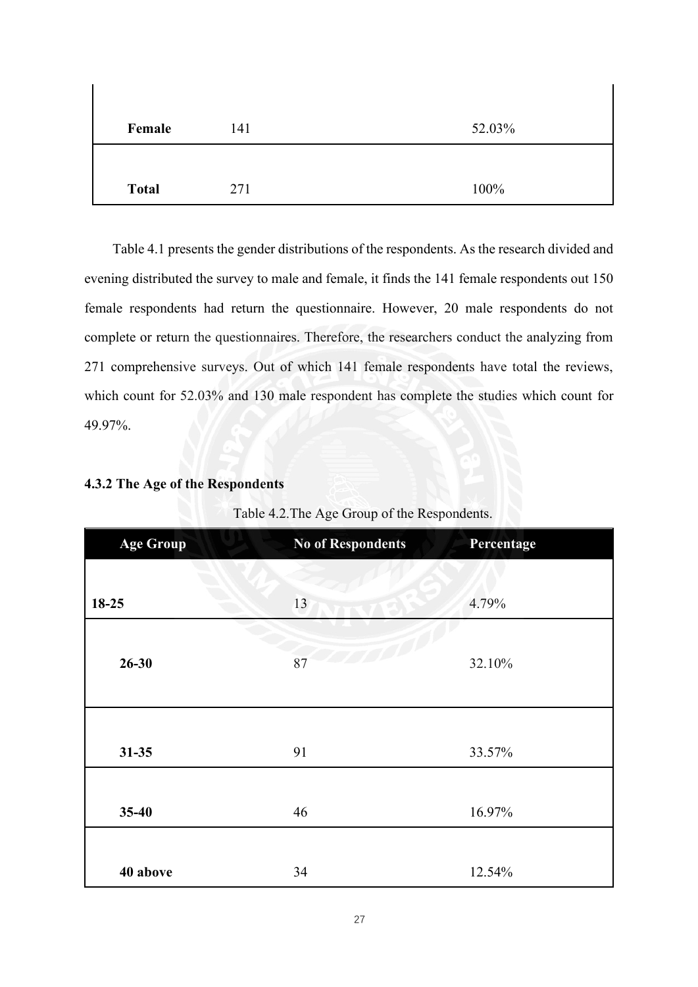| Female       | 141 | 52.03% |
|--------------|-----|--------|
|              |     |        |
| <b>Total</b> | 271 | 100%   |

Table 4.1 presents the gender distributions of the respondents. As the research divided and evening distributed the survey to male and female, it finds the 141 female respondents out 150 female respondents had return the questionnaire. However, 20 male respondents do not complete or return the questionnaires. Therefore, the researchers conduct the analyzing from 271 comprehensive surveys. Out of which 141 female respondents have total the reviews, which count for 52.03% and 130 male respondent has complete the studies which count for 49.97%.

# <span id="page-30-0"></span>**4.3.2 The Age of the Respondents**

| <b>Age Group</b> | <b>No of Respondents</b> | Percentage |  |
|------------------|--------------------------|------------|--|
|                  |                          |            |  |
| 18-25            | 13                       | 4.79%      |  |
|                  |                          |            |  |
| $26 - 30$        | 87                       | 32.10%     |  |
|                  |                          |            |  |
|                  |                          |            |  |
| $31 - 35$        | 91                       | 33.57%     |  |
|                  |                          |            |  |
| $35 - 40$        | 46                       | 16.97%     |  |
|                  |                          |            |  |
| 40 above         | 34                       | 12.54%     |  |

| Table 4.2. The Age Group of the Respondents. |  |  |  |
|----------------------------------------------|--|--|--|
|                                              |  |  |  |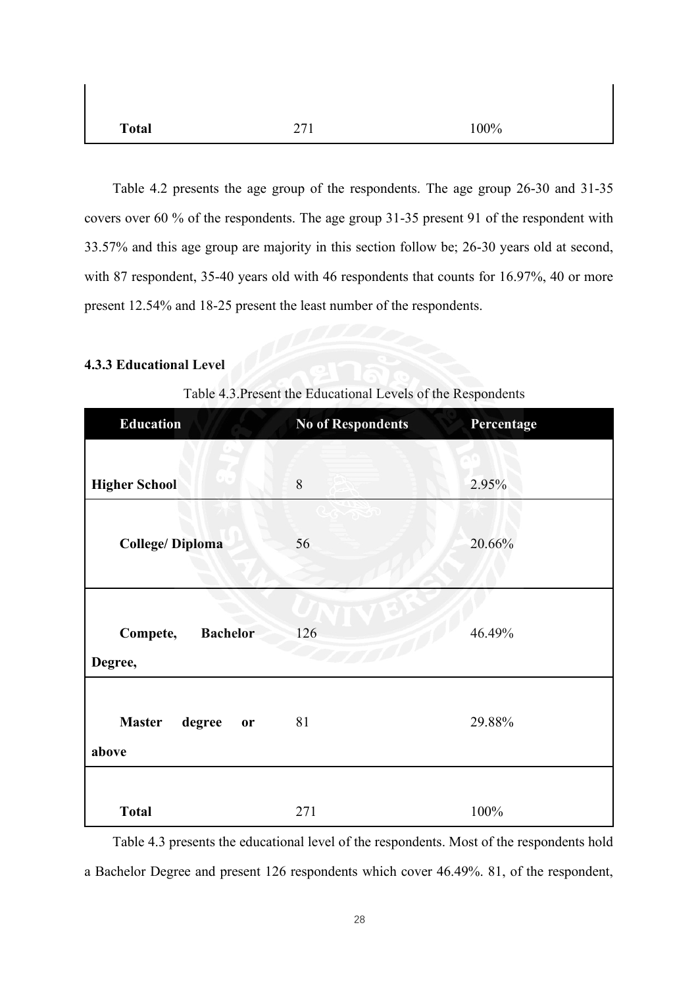| <b>Total</b> | 271 | 100% |
|--------------|-----|------|

 $\overline{1}$ 

Table 4.2 presents the age group of the respondents. The age group 26-30 and 31-35 covers over 60 % of the respondents. The age group 31-35 present 91 of the respondent with 33.57% and this age group are majority in this section follow be; 26-30 years old at second, with 87 respondent, 35-40 years old with 46 respondents that counts for 16.97%, 40 or more present 12.54% and 18-25 present the least number of the respondents.

### <span id="page-31-0"></span>**4.3.3 Educational Level**

| <b>Education</b>                       | <b>No of Respondents</b> | Percentage |
|----------------------------------------|--------------------------|------------|
|                                        |                          |            |
| <b>Higher School</b>                   | $8\,$                    | 2.95%      |
| <b>College/Diploma</b>                 | 56                       | 20.66%     |
| <b>Bachelor</b><br>Compete,<br>Degree, | 126                      | 46.49%     |
| <b>Master</b><br>degree<br>or<br>above | 81                       | 29.88%     |
| <b>Total</b>                           | 271                      | 100%       |

Table 4.3.Present the Educational Levels of the Respondents

Table 4.3 presents the educational level of the respondents. Most of the respondents hold a Bachelor Degree and present 126 respondents which cover 46.49%. 81, of the respondent,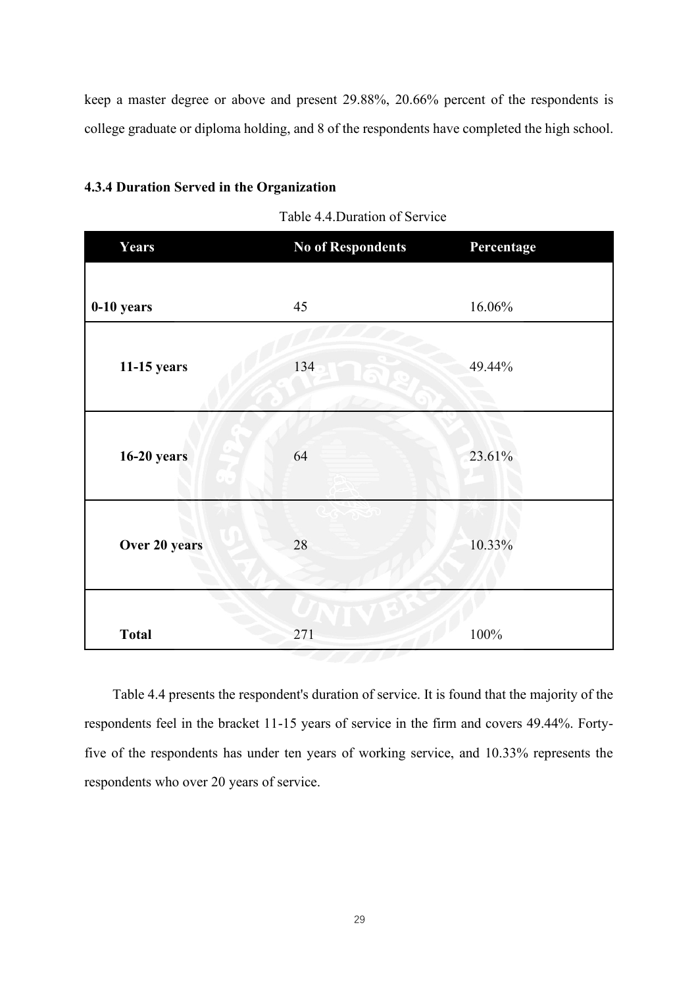keep a master degree or above and present 29.88%, 20.66% percent of the respondents is college graduate or diploma holding, and 8 of the respondents have completed the high school.

### <span id="page-32-0"></span>**4.3.4 Duration Served in the Organization**

| Table 4.4. Duration of Service |  |
|--------------------------------|--|
|--------------------------------|--|

| Years              | <b>No of Respondents</b> | Percentage |
|--------------------|--------------------------|------------|
|                    |                          |            |
| 0-10 years         | 45                       | 16.06%     |
| 11-15 years        | 134                      | 49.44%     |
| <b>16-20 years</b> | 64                       | 23.61%     |
| Over 20 years      | 28                       | 10.33%     |
| <b>Total</b>       | 271                      | 100%       |

Table 4.4 presents the respondent's duration of service. It is found that the majority of the respondents feel in the bracket 11-15 years of service in the firm and covers 49.44%. Fortyfive of the respondents has under ten years of working service, and 10.33% represents the respondents who over 20 years of service.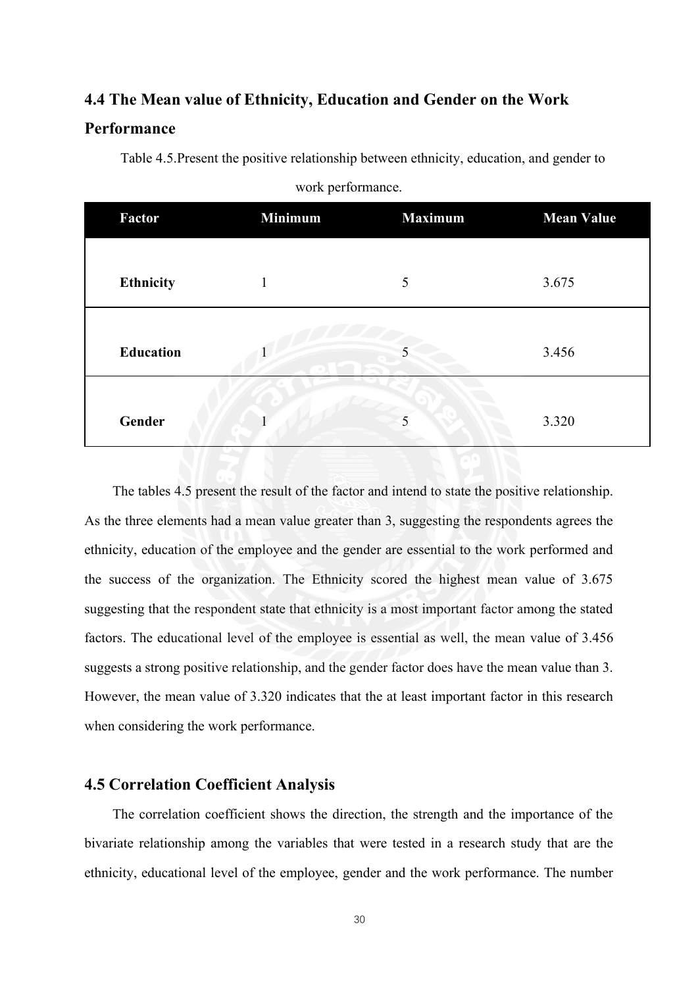# <span id="page-33-0"></span>**4.4 The Mean value of Ethnicity, Education and Gender on the Work**

# **Performance**

Table 4.5.Present the positive relationship between ethnicity, education, and gender to

| Factor           | <b>Minimum</b> | <b>Maximum</b> | <b>Mean Value</b> |
|------------------|----------------|----------------|-------------------|
| <b>Ethnicity</b> |                | 5              | 3.675             |
| <b>Education</b> |                |                | 3.456             |
| Gender           |                |                | 3.320             |

#### work performance.

The tables 4.5 present the result of the factor and intend to state the positive relationship. As the three elements had a mean value greater than 3, suggesting the respondents agrees the ethnicity, education of the employee and the gender are essential to the work performed and the success of the organization. The Ethnicity scored the highest mean value of 3.675 suggesting that the respondent state that ethnicity is a most important factor among the stated factors. The educational level of the employee is essential as well, the mean value of 3.456 suggests a strong positive relationship, and the gender factor does have the mean value than 3. However, the mean value of 3.320 indicates that the at least important factor in this research when considering the work performance.

# <span id="page-33-1"></span>**4.5 Correlation Coefficient Analysis**

The correlation coefficient shows the direction, the strength and the importance of the bivariate relationship among the variables that were tested in a research study that are the ethnicity, educational level of the employee, gender and the work performance. The number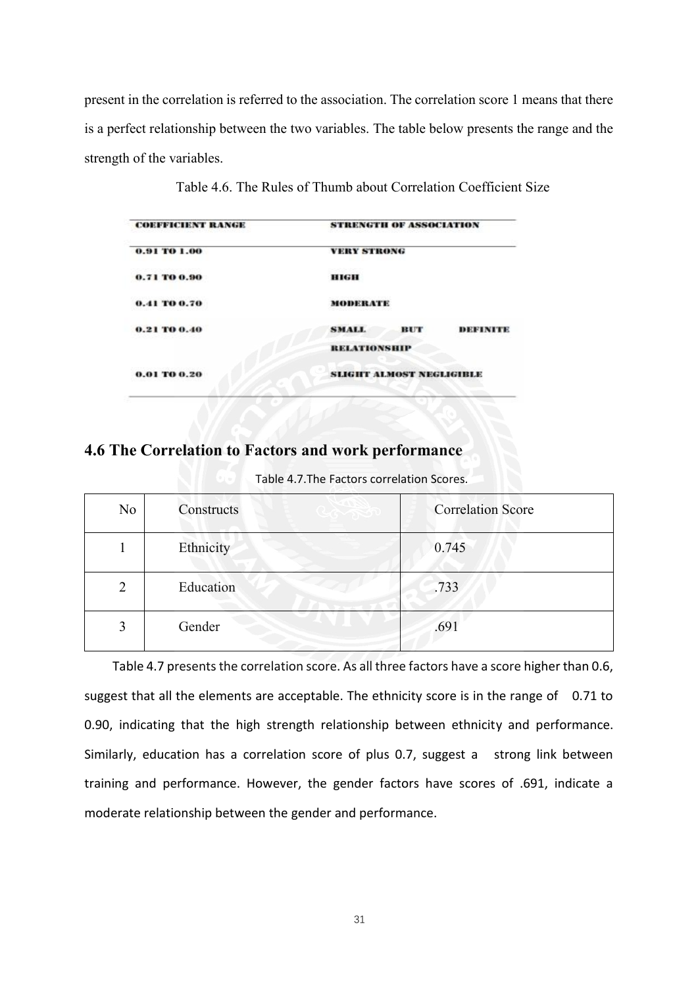present in the correlation is referred to the association. The correlation score 1 means that there is a perfect relationship between the two variables. The table below presents the range and the strength of the variables.

| <b>COEFFICIENT RANGE</b> | <b>STRENGTH OF ASSOCIATION</b>  |
|--------------------------|---------------------------------|
| 0.91 TO 1.00             | <b>VERY STRONG</b>              |
| 0.71 TO 0.90             | <b>HIGH</b>                     |
| 0.41 TO 0.70             | MODERATE                        |
| 0.21 TO 0.40             | <b>SMALL</b><br>BUT<br>DEFINITE |
|                          | <b>RELATIONSHIP</b>             |
| 0.01 TO 0.20             | <b>SLIGHT ALMOST NEGLIGIBLE</b> |
|                          |                                 |

Table 4.6. The Rules of Thumb about Correlation Coefficient Size

# <span id="page-34-0"></span>**4.6 The Correlation to Factors and work performance**

| Table 4.7. The Factors correlation Scores. |  |
|--------------------------------------------|--|
|--------------------------------------------|--|

| No | Constructs | <b>Correlation Score</b> |
|----|------------|--------------------------|
|    | Ethnicity  | 0.745                    |
| 2  | Education  | .733                     |
| 3  | Gender     | .691                     |

Table 4.7 presents the correlation score. As all three factors have a score higher than 0.6, suggest that all the elements are acceptable. The ethnicity score is in the range of 0.71 to 0.90, indicating that the high strength relationship between ethnicity and performance. Similarly, education has a correlation score of plus 0.7, suggest a strong link between training and performance. However, the gender factors have scores of .691, indicate a moderate relationship between the gender and performance.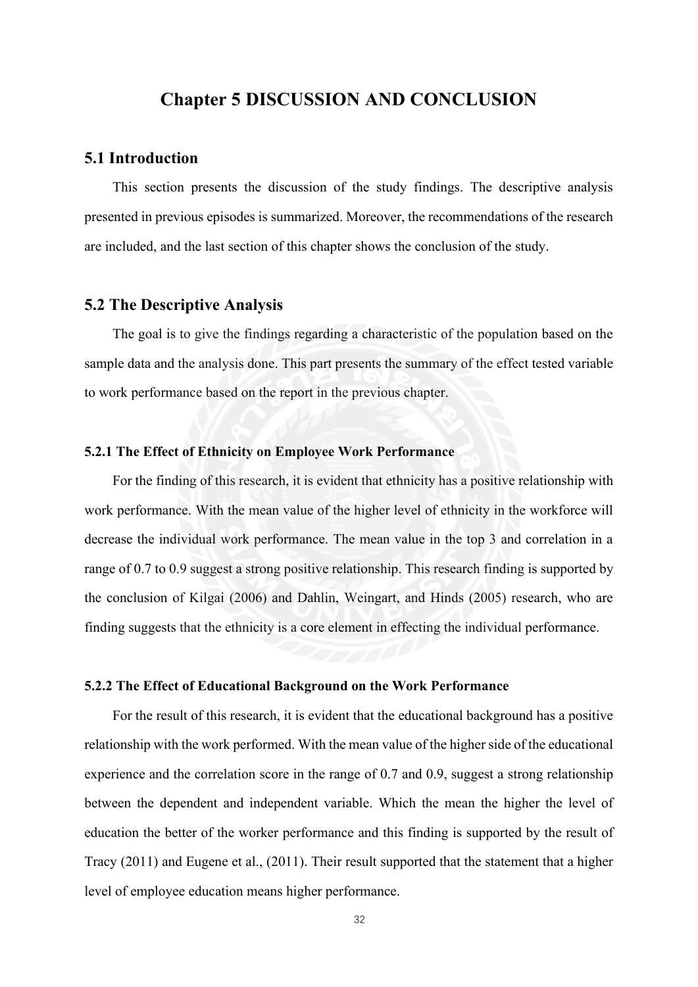# **Chapter 5 DISCUSSION AND CONCLUSION**

### <span id="page-35-1"></span><span id="page-35-0"></span>**5.1 Introduction**

This section presents the discussion of the study findings. The descriptive analysis presented in previous episodes is summarized. Moreover, the recommendations of the research are included, and the last section of this chapter shows the conclusion of the study.

# <span id="page-35-2"></span>**5.2 The Descriptive Analysis**

The goal is to give the findings regarding a characteristic of the population based on the sample data and the analysis done. This part presents the summary of the effect tested variable to work performance based on the report in the previous chapter.

### <span id="page-35-3"></span>**5.2.1 The Effect of Ethnicity on Employee Work Performance**

For the finding of this research, it is evident that ethnicity has a positive relationship with work performance. With the mean value of the higher level of ethnicity in the workforce will decrease the individual work performance. The mean value in the top 3 and correlation in a range of 0.7 to 0.9 suggest a strong positive relationship. This research finding is supported by the conclusion of Kilgai (2006) and Dahlin, Weingart, and Hinds (2005) research, who are finding suggests that the ethnicity is a core element in effecting the individual performance.

### <span id="page-35-4"></span>**5.2.2 The Effect of Educational Background on the Work Performance**

For the result of this research, it is evident that the educational background has a positive relationship with the work performed. With the mean value of the higher side of the educational experience and the correlation score in the range of 0.7 and 0.9, suggest a strong relationship between the dependent and independent variable. Which the mean the higher the level of education the better of the worker performance and this finding is supported by the result of Tracy (2011) and Eugene et al., (2011). Their result supported that the statement that a higher level of employee education means higher performance.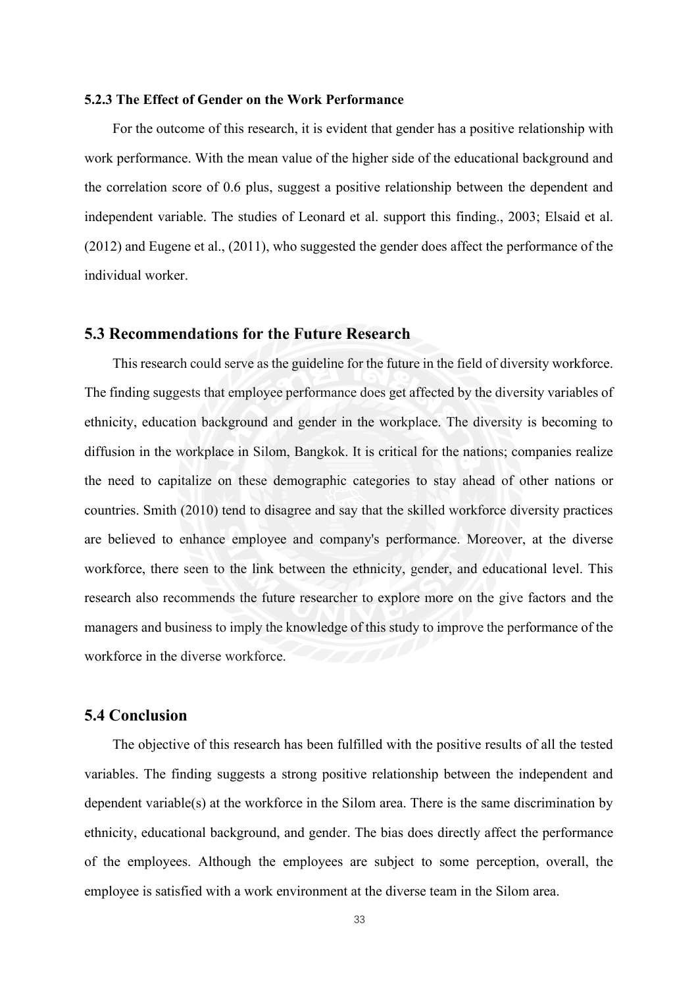### <span id="page-36-0"></span>**5.2.3 The Effect of Gender on the Work Performance**

For the outcome of this research, it is evident that gender has a positive relationship with work performance. With the mean value of the higher side of the educational background and the correlation score of 0.6 plus, suggest a positive relationship between the dependent and independent variable. The studies of Leonard et al. support this finding., 2003; Elsaid et al. (2012) and Eugene et al., (2011), who suggested the gender does affect the performance of the individual worker.

# <span id="page-36-1"></span>**5.3 Recommendations for the Future Research**

This research could serve as the guideline for the future in the field of diversity workforce. The finding suggests that employee performance does get affected by the diversity variables of ethnicity, education background and gender in the workplace. The diversity is becoming to diffusion in the workplace in Silom, Bangkok. It is critical for the nations; companies realize the need to capitalize on these demographic categories to stay ahead of other nations or countries. Smith (2010) tend to disagree and say that the skilled workforce diversity practices are believed to enhance employee and company's performance. Moreover, at the diverse workforce, there seen to the link between the ethnicity, gender, and educational level. This research also recommends the future researcher to explore more on the give factors and the managers and business to imply the knowledge of this study to improve the performance of the workforce in the diverse workforce.

# <span id="page-36-2"></span>**5.4 Conclusion**

The objective of this research has been fulfilled with the positive results of all the tested variables. The finding suggests a strong positive relationship between the independent and dependent variable(s) at the workforce in the Silom area. There is the same discrimination by ethnicity, educational background, and gender. The bias does directly affect the performance of the employees. Although the employees are subject to some perception, overall, the employee is satisfied with a work environment at the diverse team in the Silom area.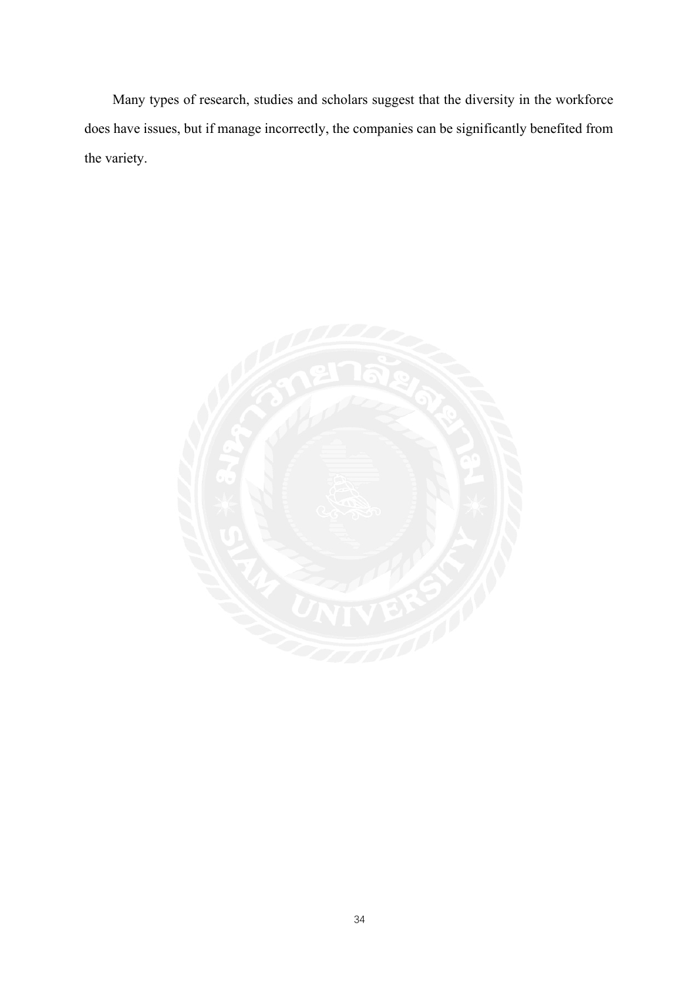Many types of research, studies and scholars suggest that the diversity in the workforce does have issues, but if manage incorrectly, the companies can be significantly benefited from the variety.

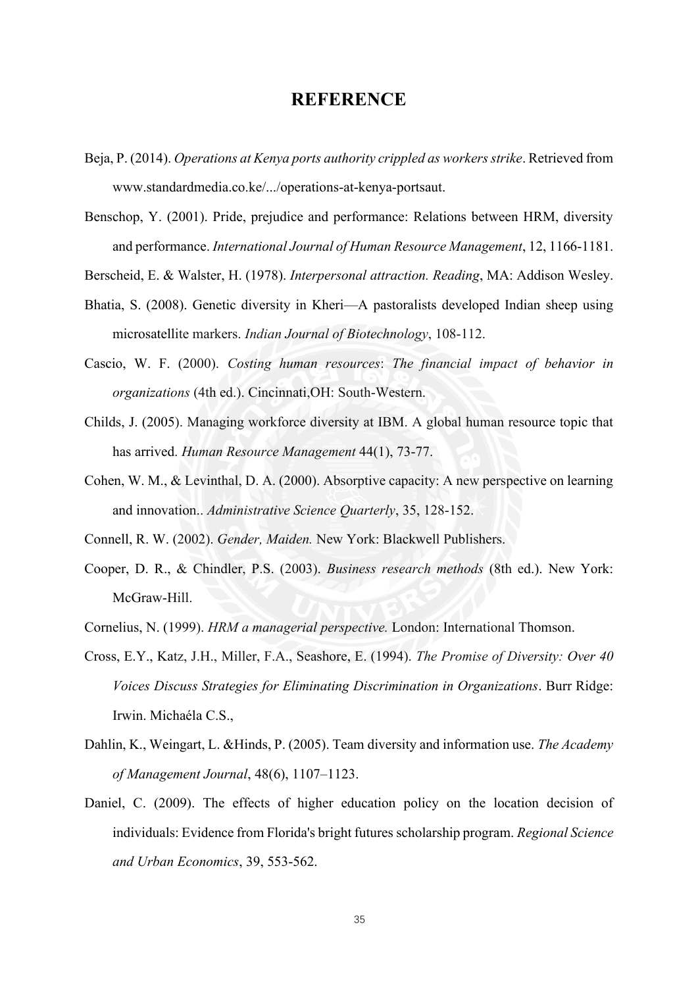# **REFERENCE**

- <span id="page-38-0"></span>Beja, P. (2014). *Operations at Kenya ports authority crippled as workers strike*. Retrieved from www.standardmedia.co.ke/.../operations-at-kenya-portsaut.
- Benschop, Y. (2001). Pride, prejudice and performance: Relations between HRM, diversity and performance. *International Journal of Human Resource Management*, 12, 1166-1181.
- Berscheid, E. & Walster, H. (1978). *Interpersonal attraction. Reading*, MA: Addison Wesley.
- Bhatia, S. (2008). Genetic diversity in Kheri—A pastoralists developed Indian sheep using microsatellite markers. *Indian Journal of Biotechnology*, 108-112.
- Cascio, W. F. (2000). *Costing human resources*: *The financial impact of behavior in organizations* (4th ed.). Cincinnati,OH: South-Western.
- Childs, J. (2005). Managing workforce diversity at IBM. A global human resource topic that has arrived. *Human Resource Management* 44(1), 73-77.
- Cohen, W. M., & Levinthal, D. A. (2000). Absorptive capacity: A new perspective on learning and innovation.. *Administrative Science Quarterly*, 35, 128-152.

Connell, R. W. (2002). *Gender, Maiden.* New York: Blackwell Publishers.

- Cooper, D. R., & Chindler, P.S. (2003). *Business research methods* (8th ed.). New York: McGraw-Hill.
- Cornelius, N. (1999). *HRM a managerial perspective.* London: International Thomson.
- Cross, E.Y., Katz, J.H., Miller, F.A., Seashore, E. (1994). *The Promise of Diversity: Over 40 Voices Discuss Strategies for Eliminating Discrimination in Organizations*. Burr Ridge: Irwin. Michaéla C.S.,
- Dahlin, K., Weingart, L. &Hinds, P. (2005). Team diversity and information use. *The Academy of Management Journal*, 48(6), 1107–1123.
- Daniel, C. (2009). The effects of higher education policy on the location decision of individuals: Evidence from Florida's bright futures scholarship program. *Regional Science and Urban Economics*, 39, 553-562.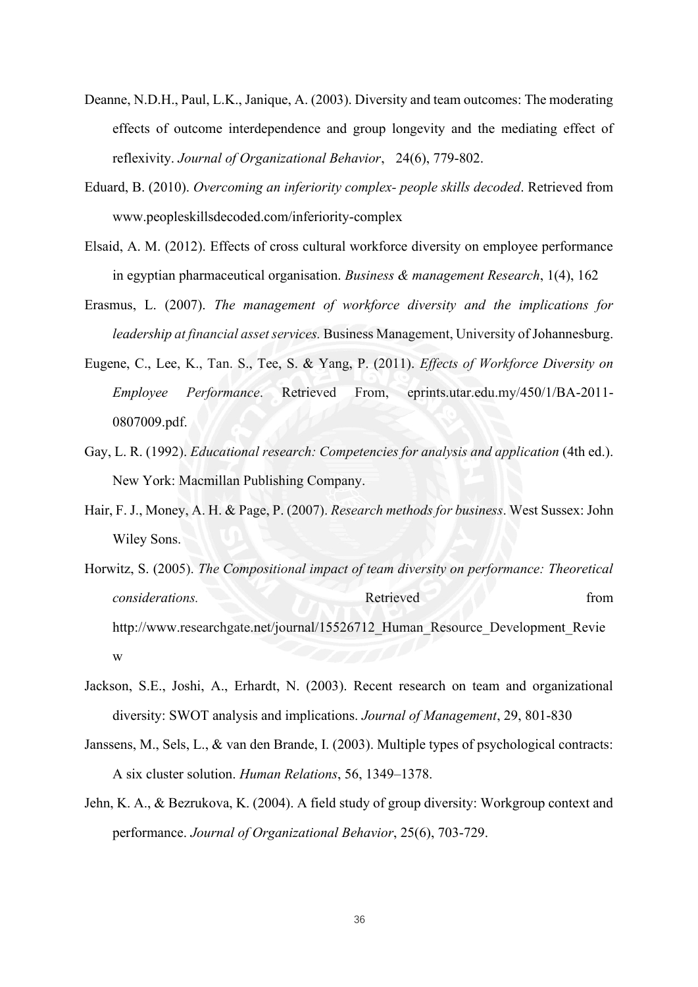- Deanne, N.D.H., Paul, L.K., Janique, A. (2003). Diversity and team outcomes: The moderating effects of outcome interdependence and group longevity and the mediating effect of reflexivity. *Journal of Organizational Behavior*, 24(6), 779-802.
- Eduard, B. (2010). *Overcoming an inferiority complex- people skills decoded*. Retrieved from www.peopleskillsdecoded.com/inferiority-complex
- Elsaid, A. M. (2012). Effects of cross cultural workforce diversity on employee performance in egyptian pharmaceutical organisation. *Business & management Research*, 1(4), 162
- Erasmus, L. (2007). *The management of workforce diversity and the implications for leadership at financial asset services.* Business Management, University of Johannesburg.
- Eugene, C., Lee, K., Tan. S., Tee, S. & Yang, P. (2011). *Effects of Workforce Diversity on Employee Performance*. Retrieved From, eprints.utar.edu.my/450/1/BA-2011- 0807009.pdf.
- Gay, L. R. (1992). *Educational research: Competencies for analysis and application* (4th ed.). New York: Macmillan Publishing Company.
- Hair, F. J., Money, A. H. & Page, P. (2007). *Research methods for business*. West Sussex: John Wiley Sons.
- Horwitz, S. (2005). *The Compositional impact of team diversity on performance: Theoretical considerations.* Retrieved from *Retrieved* from *Retrieved* http://www.researchgate.net/journal/15526712 Human Resource Development Revie w
- Jackson, S.E., Joshi, A., Erhardt, N. (2003). Recent research on team and organizational diversity: SWOT analysis and implications. *Journal of Management*, 29, 801-830
- Janssens, M., Sels, L., & van den Brande, I. (2003). Multiple types of psychological contracts: A six cluster solution. *Human Relations*, 56, 1349–1378.
- Jehn, K. A., & Bezrukova, K. (2004). A field study of group diversity: Workgroup context and performance. *Journal of Organizational Behavior*, 25(6), 703-729.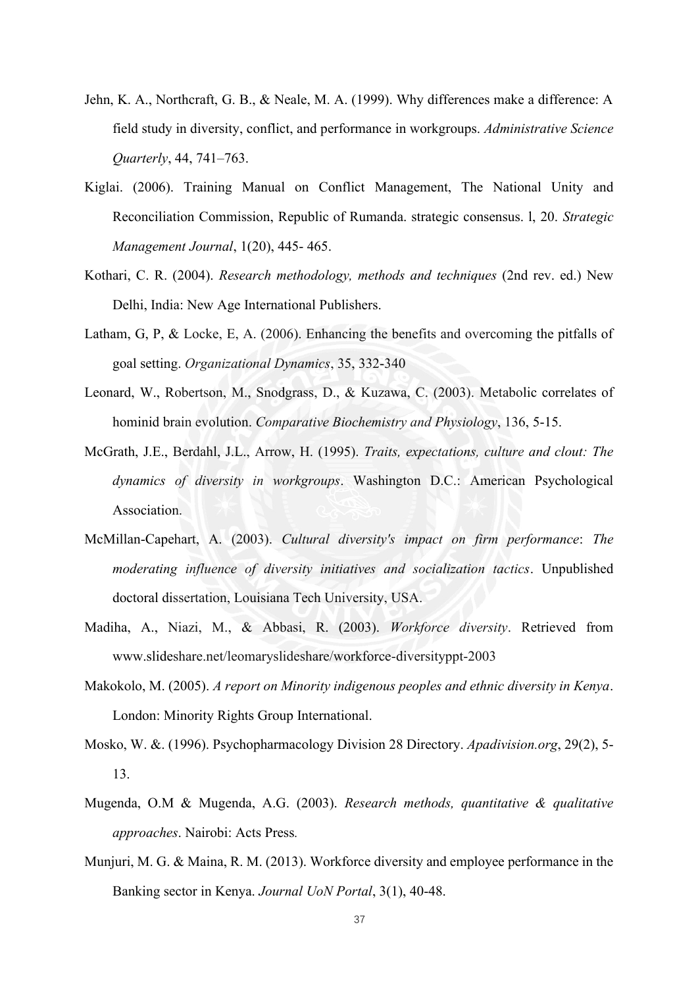- Jehn, K. A., Northcraft, G. B., & Neale, M. A. (1999). Why differences make a difference: A field study in diversity, conflict, and performance in workgroups. *Administrative Science Quarterly*, 44, 741–763.
- Kiglai. (2006). Training Manual on Conflict Management, The National Unity and Reconciliation Commission, Republic of Rumanda. strategic consensus. l, 20. *Strategic Management Journal*, 1(20), 445- 465.
- Kothari, C. R. (2004). *Research methodology, methods and techniques* (2nd rev. ed.) New Delhi, India: New Age International Publishers.
- Latham, G, P, & Locke, E, A. (2006). Enhancing the benefits and overcoming the pitfalls of goal setting. *Organizational Dynamics*, 35, 332-340
- Leonard, W., Robertson, M., Snodgrass, D., & Kuzawa, C. (2003). Metabolic correlates of hominid brain evolution. *Comparative Biochemistry and Physiology*, 136, 5-15.
- McGrath, J.E., Berdahl, J.L., Arrow, H. (1995). *Traits, expectations, culture and clout: The dynamics of diversity in workgroups*. Washington D.C.: American Psychological Association.
- McMillan-Capehart, A. (2003). *Cultural diversity's impact on firm performance*: *The moderating influence of diversity initiatives and socialization tactics*. Unpublished doctoral dissertation, Louisiana Tech University, USA.
- Madiha, A., Niazi, M., & Abbasi, R. (2003). *Workforce diversity*. Retrieved from www.slideshare.net/leomaryslideshare/workforce-diversityppt-2003
- Makokolo, M. (2005). *A report on Minority indigenous peoples and ethnic diversity in Kenya*. London: Minority Rights Group International.
- Mosko, W. &. (1996). Psychopharmacology Division 28 Directory. *Apadivision.org*, 29(2), 5- 13.
- Mugenda, O.M & Mugenda, A.G. (2003). *Research methods, quantitative & qualitative approaches*. Nairobi: Acts Press*.*
- Munjuri, M. G. & Maina, R. M. (2013). Workforce diversity and employee performance in the Banking sector in Kenya. *Journal UoN Portal*, 3(1), 40-48.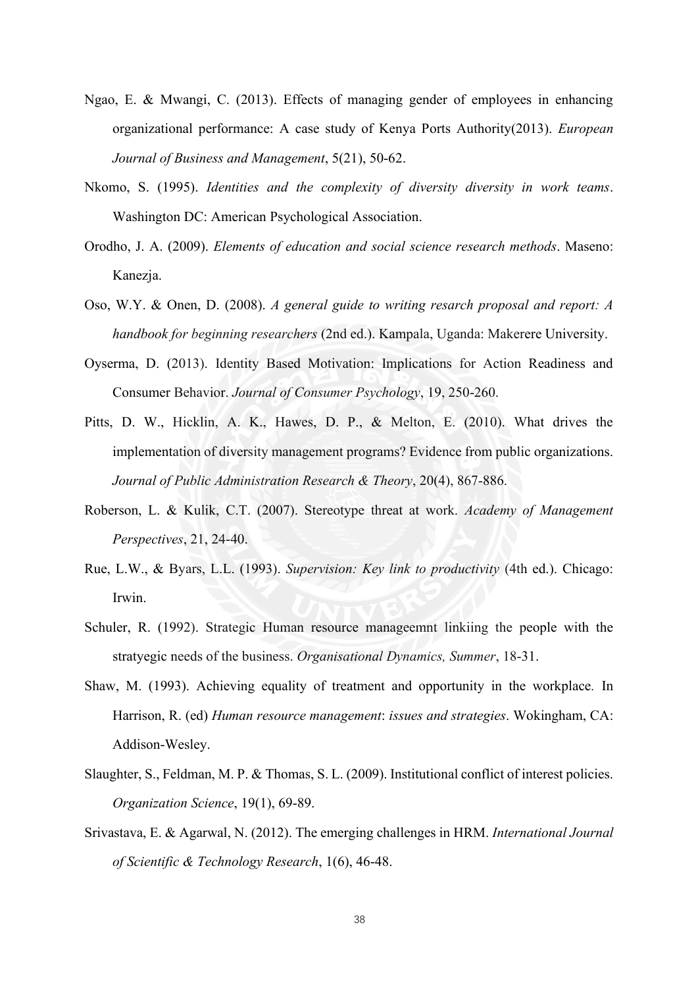- Ngao, E. & Mwangi, C. (2013). Effects of managing gender of employees in enhancing organizational performance: A case study of Kenya Ports Authority(2013). *European Journal of Business and Management*, 5(21), 50-62.
- Nkomo, S. (1995). *Identities and the complexity of diversity diversity in work teams*. Washington DC: American Psychological Association.
- Orodho, J. A. (2009). *Elements of education and social science research methods*. Maseno: Kanezja.
- Oso, W.Y. & Onen, D. (2008). *A general guide to writing resarch proposal and report: A handbook for beginning researchers* (2nd ed.). Kampala, Uganda: Makerere University.
- Oyserma, D. (2013). Identity Based Motivation: Implications for Action Readiness and Consumer Behavior. *Journal of Consumer Psychology*, 19, 250-260.
- Pitts, D. W., Hicklin, A. K., Hawes, D. P., & Melton, E. (2010). What drives the implementation of diversity management programs? Evidence from public organizations. *Journal of Public Administration Research & Theory*, 20(4), 867-886.
- Roberson, L. & Kulik, C.T. (2007). Stereotype threat at work. *Academy of Management Perspectives*, 21, 24-40.
- Rue, L.W., & Byars, L.L. (1993). *Supervision: Key link to productivity* (4th ed.). Chicago: Irwin.
- Schuler, R. (1992). Strategic Human resource manageemnt linkiing the people with the stratyegic needs of the business. *Organisational Dynamics, Summer*, 18-31.
- Shaw, M. (1993). Achieving equality of treatment and opportunity in the workplace*.* In Harrison, R. (ed) *Human resource management*: *issues and strategies*. Wokingham, CA: Addison-Wesley.
- Slaughter, S., Feldman, M. P. & Thomas, S. L. (2009). Institutional conflict of interest policies. *Organization Science*, 19(1), 69-89.
- Srivastava, E. & Agarwal, N. (2012). The emerging challenges in HRM. *International Journal of Scientific & Technology Research*, 1(6), 46-48.